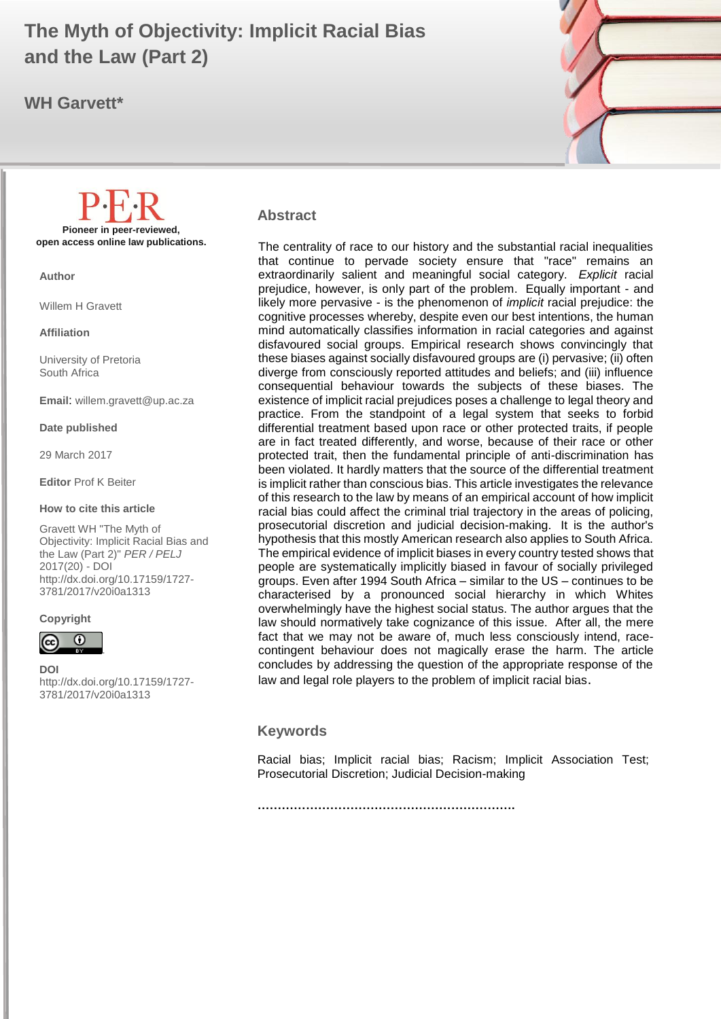# **and the Law (Part 2) and the law (Part 2) The Myth of Objectivity: Implicit Racial Bias**

## **WH Garvett\***



#### **Abstract**

The centrality of race to our history and the substantial racial inequalities that continue to pervade society ensure that "race" remains an extraordinarily salient and meaningful social category. *Explicit* racial prejudice, however, is only part of the problem. Equally important - and likely more pervasive - is the phenomenon of *implicit* racial prejudice: the cognitive processes whereby, despite even our best intentions, the human mind automatically classifies information in racial categories and against disfavoured social groups. Empirical research shows convincingly that these biases against socially disfavoured groups are (i) pervasive; (ii) often diverge from consciously reported attitudes and beliefs; and (iii) influence consequential behaviour towards the subjects of these biases. The existence of implicit racial prejudices poses a challenge to legal theory and practice. From the standpoint of a legal system that seeks to forbid differential treatment based upon race or other protected traits, if people are in fact treated differently, and worse, because of their race or other protected trait, then the fundamental principle of anti-discrimination has been violated. It hardly matters that the source of the differential treatment is implicit rather than conscious bias. This article investigates the relevance of this research to the law by means of an empirical account of how implicit racial bias could affect the criminal trial trajectory in the areas of policing, prosecutorial discretion and judicial decision-making. It is the author's hypothesis that this mostly American research also applies to South Africa. The empirical evidence of implicit biases in every country tested shows that people are systematically implicitly biased in favour of socially privileged groups. Even after 1994 South Africa – similar to the US – continues to be characterised by a pronounced social hierarchy in which Whites overwhelmingly have the highest social status. The author argues that the law should normatively take cognizance of this issue. After all, the mere fact that we may not be aware of, much less consciously intend, racecontingent behaviour does not magically erase the harm. The article concludes by addressing the question of the appropriate response of the law and legal role players to the problem of implicit racial bias.

#### **Keywords**

Racial bias; Implicit racial bias; Racism; Implicit Association Test; Prosecutorial Discretion; Judicial Decision-making

**Pioneer in peer-reviewed, open access online law publications.**

**Author**

Willem H Gravett

**Affiliation**

University of Pretoria South Africa

**Email**: willem.gravett@up.ac.za

**Date published**

29 March 2017

**Editor** Prof K Beiter

#### **How to cite this article**

Gravett WH "The Myth of Objectivity: Implicit Racial Bias and the Law (Part 2)" *PER / PELJ* 2017(20) - DOI http://dx.doi.org/10.17159/1727- 3781/2017/v20i0a[1313](http://journals.assaf.org.za/index.php/per/editor/submission/1160) 

#### **Copyright**



**DOI**  http://dx.doi.org/10.17159/1727- 3781/2017/v20i0a[1313](http://journals.assaf.org.za/index.php/per/editor/submission/1160)

**……………………………………………………….**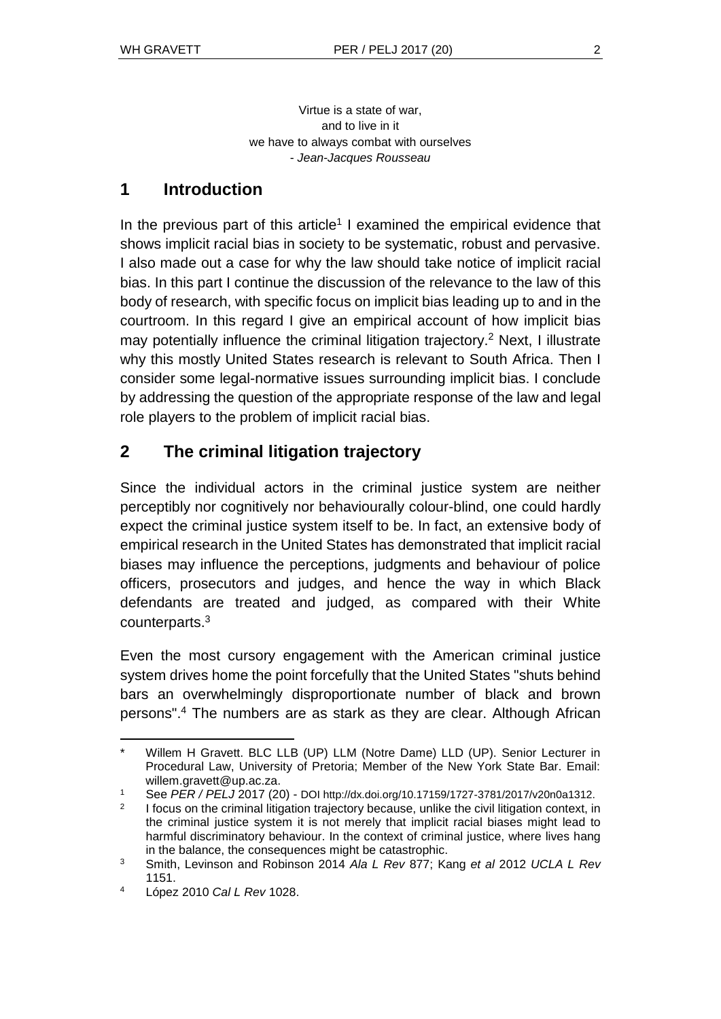Virtue is a state of war, and to live in it we have to always combat with ourselves - *Jean-Jacques Rousseau*

# **1 Introduction**

In the previous part of this article<sup>1</sup> I examined the empirical evidence that shows implicit racial bias in society to be systematic, robust and pervasive. I also made out a case for why the law should take notice of implicit racial bias. In this part I continue the discussion of the relevance to the law of this body of research, with specific focus on implicit bias leading up to and in the courtroom. In this regard I give an empirical account of how implicit bias may potentially influence the criminal litigation trajectory.<sup>2</sup> Next, I illustrate why this mostly United States research is relevant to South Africa. Then I consider some legal-normative issues surrounding implicit bias. I conclude by addressing the question of the appropriate response of the law and legal role players to the problem of implicit racial bias.

# **2 The criminal litigation trajectory**

Since the individual actors in the criminal justice system are neither perceptibly nor cognitively nor behaviourally colour-blind, one could hardly expect the criminal justice system itself to be. In fact, an extensive body of empirical research in the United States has demonstrated that implicit racial biases may influence the perceptions, judgments and behaviour of police officers, prosecutors and judges, and hence the way in which Black defendants are treated and judged, as compared with their White counterparts.<sup>3</sup>

Even the most cursory engagement with the American criminal justice system drives home the point forcefully that the United States "shuts behind bars an overwhelmingly disproportionate number of black and brown persons".<sup>4</sup> The numbers are as stark as they are clear. Although African

l Willem H Gravett. BLC LLB (UP) LLM (Notre Dame) LLD (UP). Senior Lecturer in Procedural Law, University of Pretoria; Member of the New York State Bar. Email: willem.gravett@up.ac.za.

<sup>1</sup> See *PER / PELJ* 2017 (20) - DOI http://dx.doi.org/10.17159/1727-3781/2017/v20n0a1312.

 $\mathfrak{p}$ I focus on the criminal litigation trajectory because, unlike the civil litigation context, in the criminal justice system it is not merely that implicit racial biases might lead to harmful discriminatory behaviour. In the context of criminal justice, where lives hang in the balance, the consequences might be catastrophic.

<sup>3</sup> Smith, Levinson and Robinson 2014 *Ala L Rev* 877; Kang *et al* 2012 *UCLA L Rev* 1151.

<sup>4</sup> López 2010 *Cal L Rev* 1028.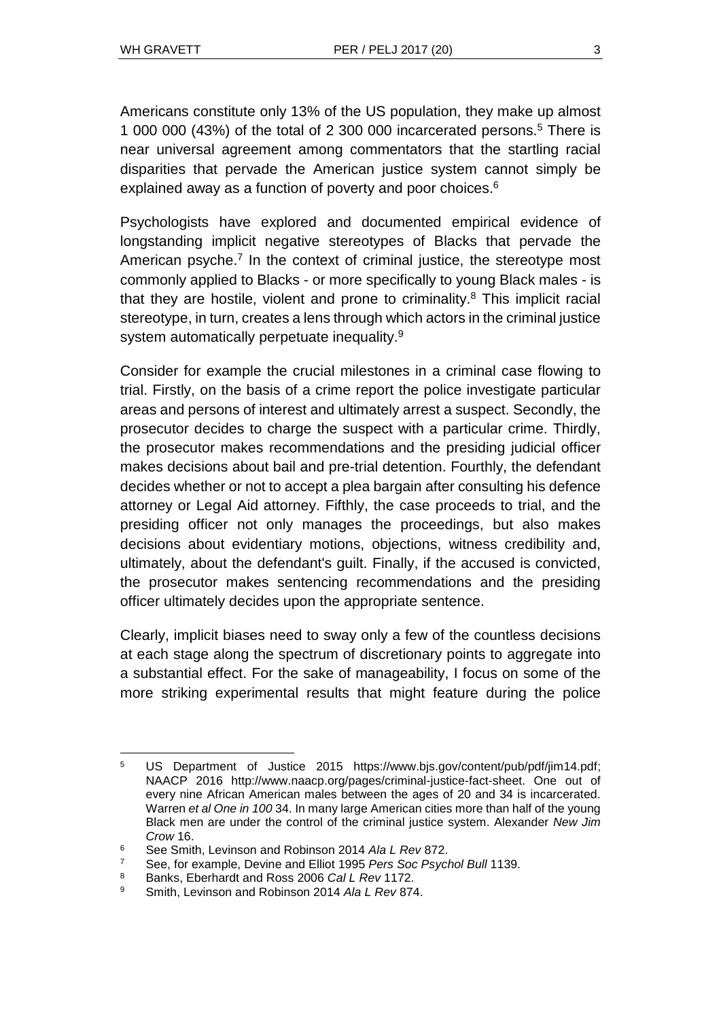Americans constitute only 13% of the US population, they make up almost 1 000 000 (43%) of the total of 2 300 000 incarcerated persons.<sup>5</sup> There is near universal agreement among commentators that the startling racial disparities that pervade the American justice system cannot simply be explained away as a function of poverty and poor choices.<sup>6</sup>

Psychologists have explored and documented empirical evidence of longstanding implicit negative stereotypes of Blacks that pervade the American psyche.<sup>7</sup> In the context of criminal justice, the stereotype most commonly applied to Blacks - or more specifically to young Black males - is that they are hostile, violent and prone to criminality. $8$  This implicit racial stereotype, in turn, creates a lens through which actors in the criminal justice system automatically perpetuate inequality.<sup>9</sup>

Consider for example the crucial milestones in a criminal case flowing to trial. Firstly, on the basis of a crime report the police investigate particular areas and persons of interest and ultimately arrest a suspect. Secondly, the prosecutor decides to charge the suspect with a particular crime. Thirdly, the prosecutor makes recommendations and the presiding judicial officer makes decisions about bail and pre-trial detention. Fourthly, the defendant decides whether or not to accept a plea bargain after consulting his defence attorney or Legal Aid attorney. Fifthly, the case proceeds to trial, and the presiding officer not only manages the proceedings, but also makes decisions about evidentiary motions, objections, witness credibility and, ultimately, about the defendant's guilt. Finally, if the accused is convicted, the prosecutor makes sentencing recommendations and the presiding officer ultimately decides upon the appropriate sentence.

Clearly, implicit biases need to sway only a few of the countless decisions at each stage along the spectrum of discretionary points to aggregate into a substantial effect. For the sake of manageability, I focus on some of the more striking experimental results that might feature during the police

<sup>5</sup> US Department of Justice 2015 https://www.bjs.gov/content/pub/pdf/jim14.pdf; NAACP 2016 [http://www.naacp.org/pages/criminal-justice-fact-sheet.](http://www.naacp.org/pages/criminal-justice-fact-sheet) One out of every nine African American males between the ages of 20 and 34 is incarcerated. Warren *et al One in 100* 34. In many large American cities more than half of the young Black men are under the control of the criminal justice system. Alexander *New Jim Crow* 16.

<sup>6</sup> See Smith, Levinson and Robinson 2014 *Ala L Rev* 872.

<sup>7</sup> See, for example, Devine and Elliot 1995 *Pers Soc Psychol Bull* 1139.

<sup>8</sup> Banks, Eberhardt and Ross 2006 *Cal L Rev* 1172.

<sup>9</sup> Smith, Levinson and Robinson 2014 *Ala L Rev* 874.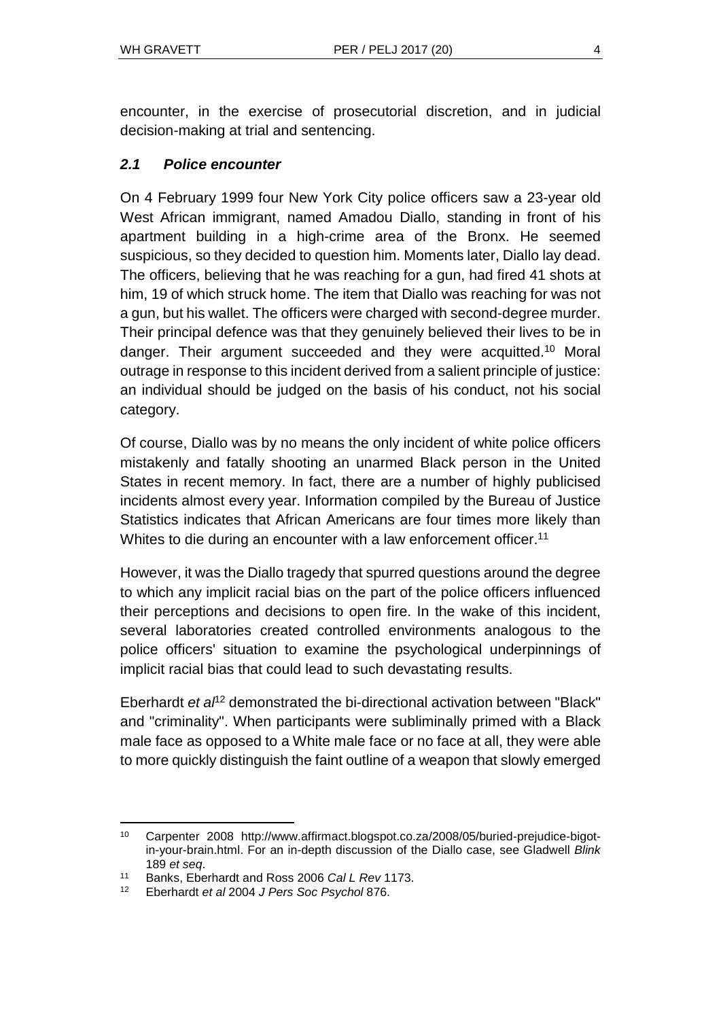encounter, in the exercise of prosecutorial discretion, and in judicial decision-making at trial and sentencing.

## *2.1 Police encounter*

On 4 February 1999 four New York City police officers saw a 23-year old West African immigrant, named Amadou Diallo, standing in front of his apartment building in a high-crime area of the Bronx. He seemed suspicious, so they decided to question him. Moments later, Diallo lay dead. The officers, believing that he was reaching for a gun, had fired 41 shots at him, 19 of which struck home. The item that Diallo was reaching for was not a gun, but his wallet. The officers were charged with second-degree murder. Their principal defence was that they genuinely believed their lives to be in danger. Their argument succeeded and they were acquitted.<sup>10</sup> Moral outrage in response to this incident derived from a salient principle of justice: an individual should be judged on the basis of his conduct, not his social category.

Of course, Diallo was by no means the only incident of white police officers mistakenly and fatally shooting an unarmed Black person in the United States in recent memory. In fact, there are a number of highly publicised incidents almost every year. Information compiled by the Bureau of Justice Statistics indicates that African Americans are four times more likely than Whites to die during an encounter with a law enforcement officer.<sup>11</sup>

However, it was the Diallo tragedy that spurred questions around the degree to which any implicit racial bias on the part of the police officers influenced their perceptions and decisions to open fire. In the wake of this incident, several laboratories created controlled environments analogous to the police officers' situation to examine the psychological underpinnings of implicit racial bias that could lead to such devastating results.

Eberhardt *et al<sup>12</sup>* demonstrated the bi-directional activation between "Black" and "criminality". When participants were subliminally primed with a Black male face as opposed to a White male face or no face at all, they were able to more quickly distinguish the faint outline of a weapon that slowly emerged

l <sup>10</sup> Carpenter 2008 http:/[/www.affirmact.blogspot.co.za/2008/05/buried-prejudice-bigot](http://www.affirmact.blogspot.co.za/2008/05/buried-prejudice-bigot-in-your-brain.html)[in-your-brain.html.](http://www.affirmact.blogspot.co.za/2008/05/buried-prejudice-bigot-in-your-brain.html) For an in-depth discussion of the Diallo case, see Gladwell *Blink* 189 *et seq*.

<sup>11</sup> Banks, Eberhardt and Ross 2006 *Cal L Rev* 1173.

<sup>12</sup> Eberhardt *et al* 2004 *J Pers Soc Psychol* 876.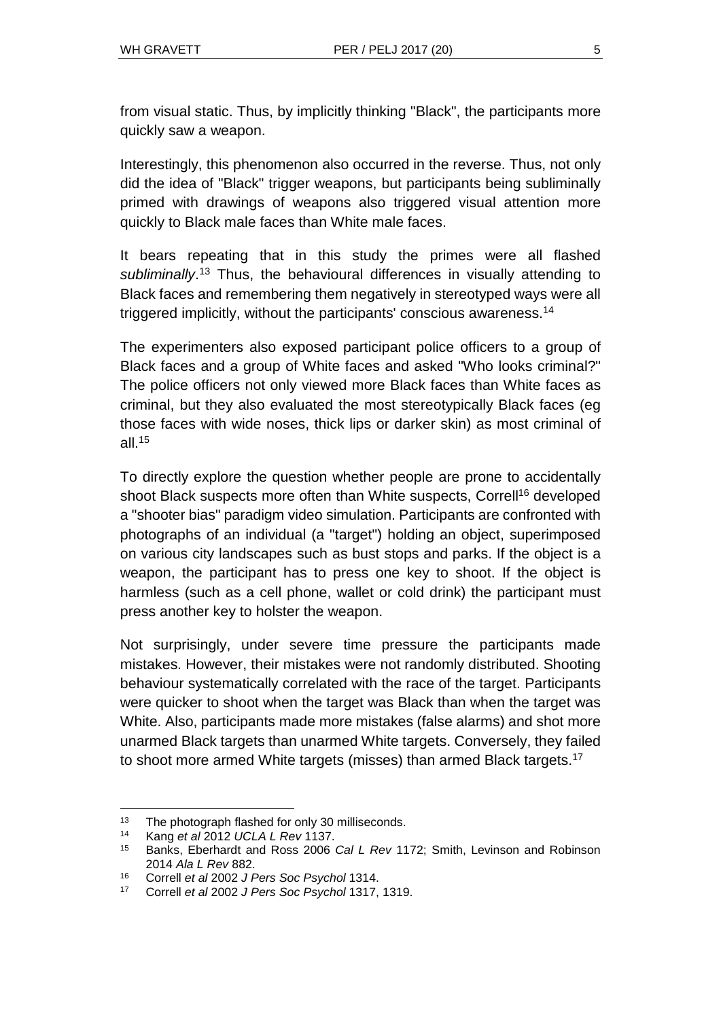from visual static. Thus, by implicitly thinking "Black", the participants more quickly saw a weapon.

Interestingly, this phenomenon also occurred in the reverse. Thus, not only did the idea of "Black" trigger weapons, but participants being subliminally primed with drawings of weapons also triggered visual attention more quickly to Black male faces than White male faces.

It bears repeating that in this study the primes were all flashed subliminally.<sup>13</sup> Thus, the behavioural differences in visually attending to Black faces and remembering them negatively in stereotyped ways were all triggered implicitly, without the participants' conscious awareness.<sup>14</sup>

The experimenters also exposed participant police officers to a group of Black faces and a group of White faces and asked "Who looks criminal?" The police officers not only viewed more Black faces than White faces as criminal, but they also evaluated the most stereotypically Black faces (eg those faces with wide noses, thick lips or darker skin) as most criminal of all. $15$ 

To directly explore the question whether people are prone to accidentally shoot Black suspects more often than White suspects, Correll<sup>16</sup> developed a "shooter bias" paradigm video simulation. Participants are confronted with photographs of an individual (a "target") holding an object, superimposed on various city landscapes such as bust stops and parks. If the object is a weapon, the participant has to press one key to shoot. If the object is harmless (such as a cell phone, wallet or cold drink) the participant must press another key to holster the weapon.

Not surprisingly, under severe time pressure the participants made mistakes. However, their mistakes were not randomly distributed. Shooting behaviour systematically correlated with the race of the target. Participants were quicker to shoot when the target was Black than when the target was White. Also, participants made more mistakes (false alarms) and shot more unarmed Black targets than unarmed White targets. Conversely, they failed to shoot more armed White targets (misses) than armed Black targets.<sup>17</sup>

<sup>&</sup>lt;sup>13</sup> The photograph flashed for only 30 milliseconds.

<sup>14</sup> Kang *et al* 2012 *UCLA L Rev* 1137.

<sup>15</sup> Banks, Eberhardt and Ross 2006 *Cal L Rev* 1172; Smith, Levinson and Robinson 2014 *Ala L Rev* 882.

<sup>16</sup> Correll *et al* 2002 *J Pers Soc Psychol* 1314.

<sup>17</sup> Correll *et al* 2002 *J Pers Soc Psychol* 1317, 1319.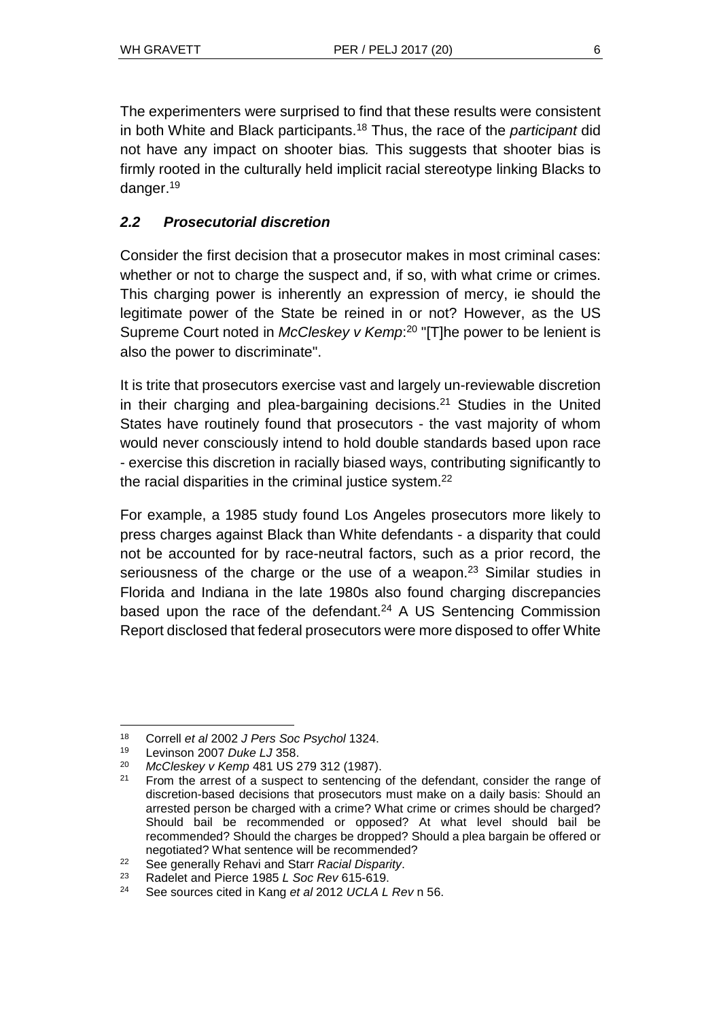The experimenters were surprised to find that these results were consistent in both White and Black participants.<sup>18</sup> Thus, the race of the *participant* did not have any impact on shooter bias*.* This suggests that shooter bias is firmly rooted in the culturally held implicit racial stereotype linking Blacks to danger.<sup>19</sup>

# *2.2 Prosecutorial discretion*

Consider the first decision that a prosecutor makes in most criminal cases: whether or not to charge the suspect and, if so, with what crime or crimes. This charging power is inherently an expression of mercy, ie should the legitimate power of the State be reined in or not? However, as the US Supreme Court noted in *McCleskey v Kemp*: <sup>20</sup> "[T]he power to be lenient is also the power to discriminate".

It is trite that prosecutors exercise vast and largely un-reviewable discretion in their charging and plea-bargaining decisions.<sup>21</sup> Studies in the United States have routinely found that prosecutors - the vast majority of whom would never consciously intend to hold double standards based upon race - exercise this discretion in racially biased ways, contributing significantly to the racial disparities in the criminal justice system.<sup>22</sup>

For example, a 1985 study found Los Angeles prosecutors more likely to press charges against Black than White defendants - a disparity that could not be accounted for by race-neutral factors, such as a prior record, the seriousness of the charge or the use of a weapon.<sup>23</sup> Similar studies in Florida and Indiana in the late 1980s also found charging discrepancies based upon the race of the defendant. $24$  A US Sentencing Commission Report disclosed that federal prosecutors were more disposed to offer White

 $\overline{a}$ <sup>18</sup> Correll *et al* 2002 *J Pers Soc Psychol* 1324.

<sup>19</sup> Levinson 2007 *Duke LJ* 358.

<sup>20</sup> *McCleskey v Kemp* 481 US 279 312 (1987).

 $21$  From the arrest of a suspect to sentencing of the defendant, consider the range of discretion-based decisions that prosecutors must make on a daily basis: Should an arrested person be charged with a crime? What crime or crimes should be charged? Should bail be recommended or opposed? At what level should bail be recommended? Should the charges be dropped? Should a plea bargain be offered or negotiated? What sentence will be recommended?

<sup>22</sup> See generally Rehavi and Starr *Racial Disparity*.

<sup>23</sup> Radelet and Pierce 1985 *L Soc Rev* 615-619.

<sup>24</sup> See sources cited in Kang *et al* 2012 *UCLA L Rev* n 56.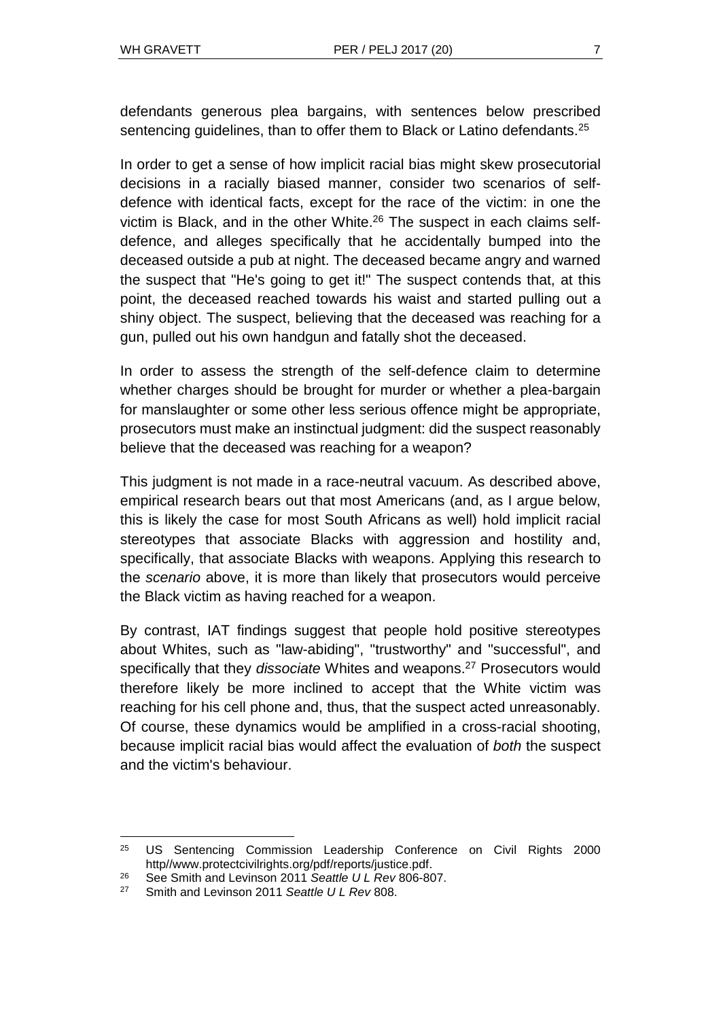defendants generous plea bargains, with sentences below prescribed sentencing guidelines, than to offer them to Black or Latino defendants.<sup>25</sup>

In order to get a sense of how implicit racial bias might skew prosecutorial decisions in a racially biased manner, consider two scenarios of selfdefence with identical facts, except for the race of the victim: in one the victim is Black, and in the other White.<sup>26</sup> The suspect in each claims selfdefence, and alleges specifically that he accidentally bumped into the deceased outside a pub at night. The deceased became angry and warned the suspect that "He's going to get it!" The suspect contends that, at this point, the deceased reached towards his waist and started pulling out a shiny object. The suspect, believing that the deceased was reaching for a gun, pulled out his own handgun and fatally shot the deceased.

In order to assess the strength of the self-defence claim to determine whether charges should be brought for murder or whether a plea-bargain for manslaughter or some other less serious offence might be appropriate, prosecutors must make an instinctual judgment: did the suspect reasonably believe that the deceased was reaching for a weapon?

This judgment is not made in a race-neutral vacuum. As described above, empirical research bears out that most Americans (and, as I argue below, this is likely the case for most South Africans as well) hold implicit racial stereotypes that associate Blacks with aggression and hostility and, specifically, that associate Blacks with weapons. Applying this research to the *scenario* above, it is more than likely that prosecutors would perceive the Black victim as having reached for a weapon.

By contrast, IAT findings suggest that people hold positive stereotypes about Whites, such as "law-abiding", "trustworthy" and "successful", and specifically that they *dissociate* Whites and weapons.<sup>27</sup> Prosecutors would therefore likely be more inclined to accept that the White victim was reaching for his cell phone and, thus, that the suspect acted unreasonably. Of course, these dynamics would be amplified in a cross-racial shooting, because implicit racial bias would affect the evaluation of *both* the suspect and the victim's behaviour.

<sup>&</sup>lt;sup>25</sup> US Sentencing Commission Leadership Conference on Civil Rights 2000 http/[/www.protectcivilrights.org/pdf/reports/justice.pdf.](http://www.protectcivilrights.org/pdf/reports/justice.pdf)

<sup>26</sup> See Smith and Levinson 2011 *Seattle U L Rev* 806-807.

<sup>27</sup> Smith and Levinson 2011 *Seattle U L Rev* 808.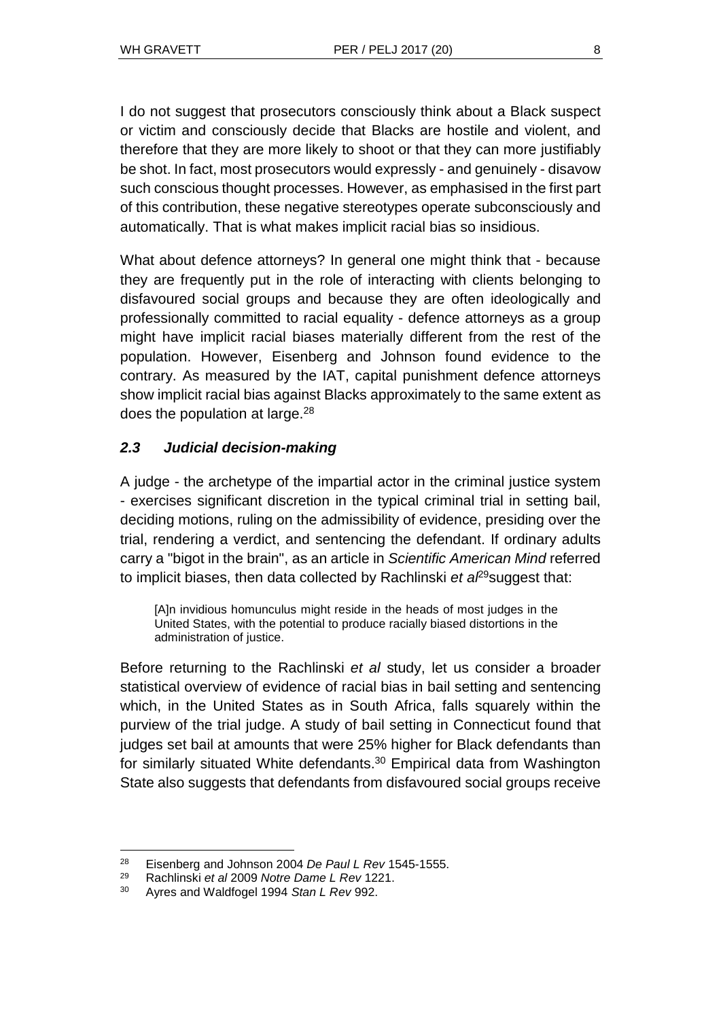I do not suggest that prosecutors consciously think about a Black suspect or victim and consciously decide that Blacks are hostile and violent, and therefore that they are more likely to shoot or that they can more justifiably be shot. In fact, most prosecutors would expressly - and genuinely - disavow such conscious thought processes. However, as emphasised in the first part of this contribution, these negative stereotypes operate subconsciously and automatically. That is what makes implicit racial bias so insidious.

What about defence attorneys? In general one might think that - because they are frequently put in the role of interacting with clients belonging to disfavoured social groups and because they are often ideologically and professionally committed to racial equality - defence attorneys as a group might have implicit racial biases materially different from the rest of the population. However, Eisenberg and Johnson found evidence to the contrary. As measured by the IAT, capital punishment defence attorneys show implicit racial bias against Blacks approximately to the same extent as does the population at large. $^{28}$ 

## *2.3 Judicial decision-making*

A judge - the archetype of the impartial actor in the criminal justice system - exercises significant discretion in the typical criminal trial in setting bail, deciding motions, ruling on the admissibility of evidence, presiding over the trial, rendering a verdict, and sentencing the defendant. If ordinary adults carry a "bigot in the brain", as an article in *Scientific American Mind* referred to implicit biases, then data collected by Rachlinski *et al*<sup>29</sup>suggest that:

[A]n invidious homunculus might reside in the heads of most judges in the United States, with the potential to produce racially biased distortions in the administration of justice.

Before returning to the Rachlinski *et al* study, let us consider a broader statistical overview of evidence of racial bias in bail setting and sentencing which, in the United States as in South Africa, falls squarely within the purview of the trial judge. A study of bail setting in Connecticut found that judges set bail at amounts that were 25% higher for Black defendants than for similarly situated White defendants.<sup>30</sup> Empirical data from Washington State also suggests that defendants from disfavoured social groups receive

 $\overline{a}$ 

<sup>28</sup> Eisenberg and Johnson 2004 *De Paul L Rev* 1545-1555.

<sup>29</sup> Rachlinski *et al* 2009 *Notre Dame L Rev* 1221.

<sup>30</sup> Ayres and Waldfogel 1994 *Stan L Rev* 992.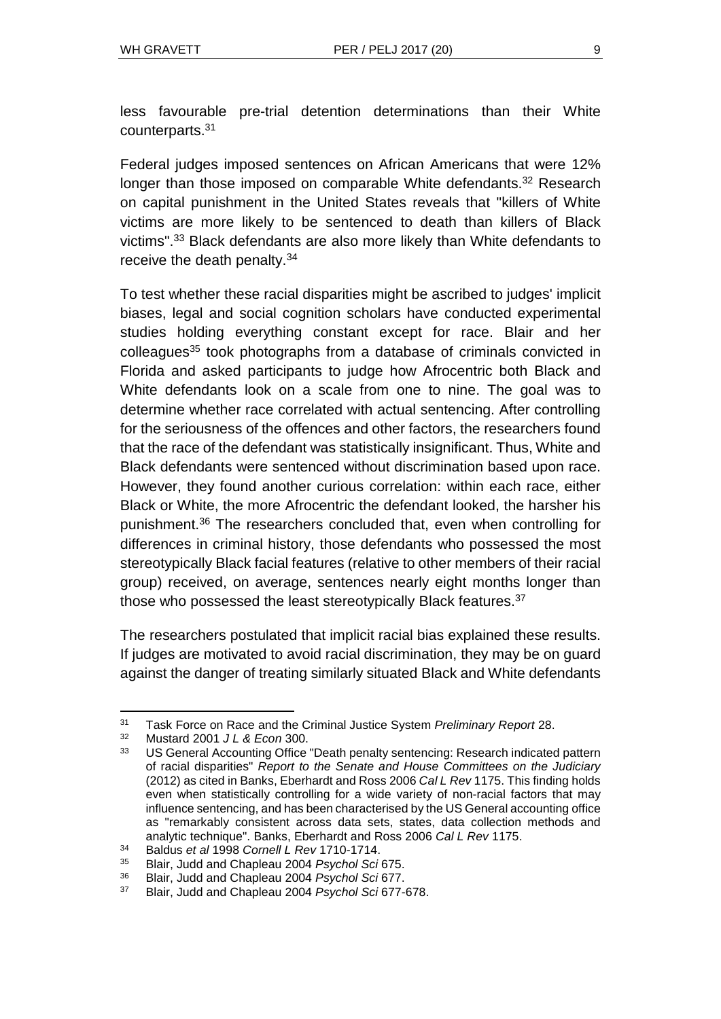less favourable pre-trial detention determinations than their White counterparts.<sup>31</sup>

Federal judges imposed sentences on African Americans that were 12% longer than those imposed on comparable White defendants.<sup>32</sup> Research on capital punishment in the United States reveals that "killers of White victims are more likely to be sentenced to death than killers of Black victims".<sup>33</sup> Black defendants are also more likely than White defendants to receive the death penalty.<sup>34</sup>

To test whether these racial disparities might be ascribed to judges' implicit biases, legal and social cognition scholars have conducted experimental studies holding everything constant except for race. Blair and her colleagues<sup>35</sup> took photographs from a database of criminals convicted in Florida and asked participants to judge how Afrocentric both Black and White defendants look on a scale from one to nine. The goal was to determine whether race correlated with actual sentencing. After controlling for the seriousness of the offences and other factors, the researchers found that the race of the defendant was statistically insignificant. Thus, White and Black defendants were sentenced without discrimination based upon race. However, they found another curious correlation: within each race, either Black or White, the more Afrocentric the defendant looked, the harsher his punishment.<sup>36</sup> The researchers concluded that, even when controlling for differences in criminal history, those defendants who possessed the most stereotypically Black facial features (relative to other members of their racial group) received, on average, sentences nearly eight months longer than those who possessed the least stereotypically Black features.<sup>37</sup>

The researchers postulated that implicit racial bias explained these results. If judges are motivated to avoid racial discrimination, they may be on guard against the danger of treating similarly situated Black and White defendants

l <sup>31</sup> Task Force on Race and the Criminal Justice System *Preliminary Report* 28.

<sup>32</sup> Mustard 2001 *J L & Econ* 300.

US General Accounting Office "Death penalty sentencing: Research indicated pattern of racial disparities" *Report to the Senate and House Committees on the Judiciary* (2012) as cited in Banks, Eberhardt and Ross 2006 *Cal L Rev* 1175. This finding holds even when statistically controlling for a wide variety of non-racial factors that may influence sentencing, and has been characterised by the US General accounting office as "remarkably consistent across data sets, states, data collection methods and analytic technique". Banks, Eberhardt and Ross 2006 *Cal L Rev* 1175.

<sup>34</sup> Baldus *et al* 1998 *Cornell L Rev* 1710-1714.

<sup>35</sup> Blair, Judd and Chapleau 2004 *Psychol Sci* 675.

<sup>36</sup> Blair, Judd and Chapleau 2004 *Psychol Sci* 677.

<sup>37</sup> Blair, Judd and Chapleau 2004 *Psychol Sci* 677-678.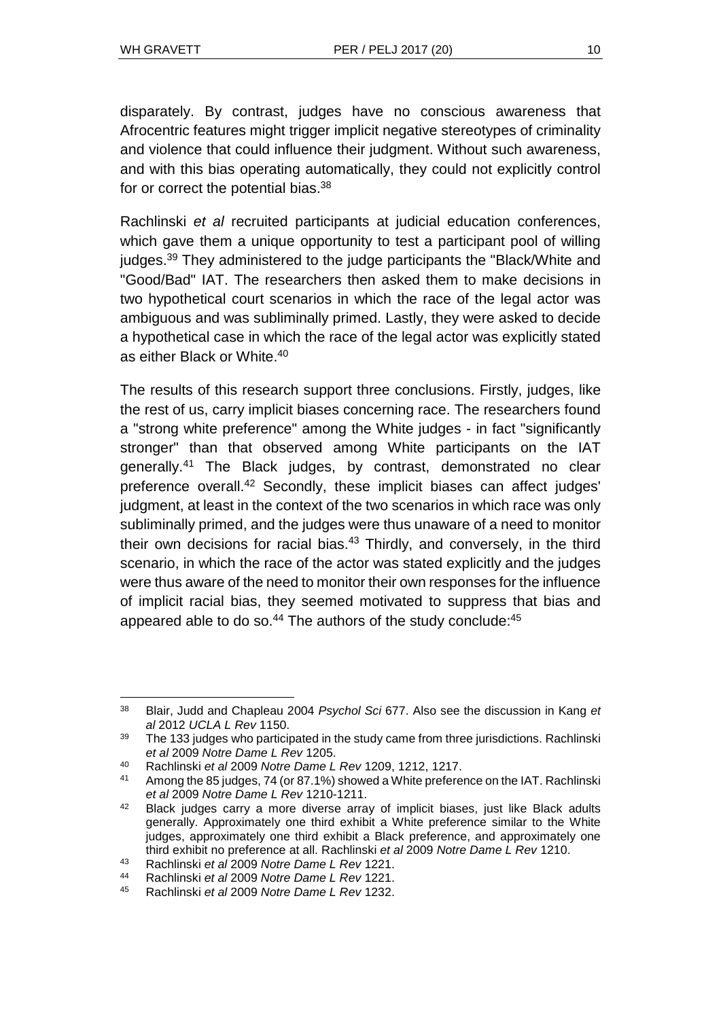l

disparately. By contrast, judges have no conscious awareness that Afrocentric features might trigger implicit negative stereotypes of criminality and violence that could influence their judgment. Without such awareness, and with this bias operating automatically, they could not explicitly control for or correct the potential bias.<sup>38</sup>

Rachlinski *et al* recruited participants at judicial education conferences, which gave them a unique opportunity to test a participant pool of willing judges.<sup>39</sup> They administered to the judge participants the "Black/White and "Good/Bad" IAT. The researchers then asked them to make decisions in two hypothetical court scenarios in which the race of the legal actor was ambiguous and was subliminally primed. Lastly, they were asked to decide a hypothetical case in which the race of the legal actor was explicitly stated as either Black or White.<sup>40</sup>

The results of this research support three conclusions. Firstly, judges, like the rest of us, carry implicit biases concerning race. The researchers found a "strong white preference" among the White judges - in fact "significantly stronger" than that observed among White participants on the IAT generally.<sup>41</sup> The Black judges, by contrast, demonstrated no clear preference overall.<sup>42</sup> Secondly, these implicit biases can affect judges' judgment, at least in the context of the two scenarios in which race was only subliminally primed, and the judges were thus unaware of a need to monitor their own decisions for racial bias.<sup>43</sup> Thirdly, and conversely, in the third scenario, in which the race of the actor was stated explicitly and the judges were thus aware of the need to monitor their own responses for the influence of implicit racial bias, they seemed motivated to suppress that bias and appeared able to do so. $44$  The authors of the study conclude: $45$ 

<sup>38</sup> Blair, Judd and Chapleau 2004 *Psychol Sci* 677. Also see the discussion in Kang *et al* 2012 *UCLA L Rev* 1150.

<sup>&</sup>lt;sup>39</sup> The 133 judges who participated in the study came from three jurisdictions. Rachlinski *et al* 2009 *Notre Dame L Rev* 1205.

<sup>40</sup> Rachlinski *et al* 2009 *Notre Dame L Rev* 1209, 1212, 1217.

<sup>41</sup> Among the 85 judges, 74 (or 87.1%) showed a White preference on the IAT. Rachlinski *et al* 2009 *Notre Dame L Rev* 1210-1211.

 $42$  Black judges carry a more diverse array of implicit biases, just like Black adults generally. Approximately one third exhibit a White preference similar to the White judges, approximately one third exhibit a Black preference, and approximately one third exhibit no preference at all. Rachlinski *et al* 2009 *Notre Dame L Rev* 1210.

<sup>43</sup> Rachlinski *et al* 2009 *Notre Dame L Rev* 1221.

<sup>44</sup> Rachlinski *et al* 2009 *Notre Dame L Rev* 1221.

<sup>45</sup> Rachlinski *et al* 2009 *Notre Dame L Rev* 1232.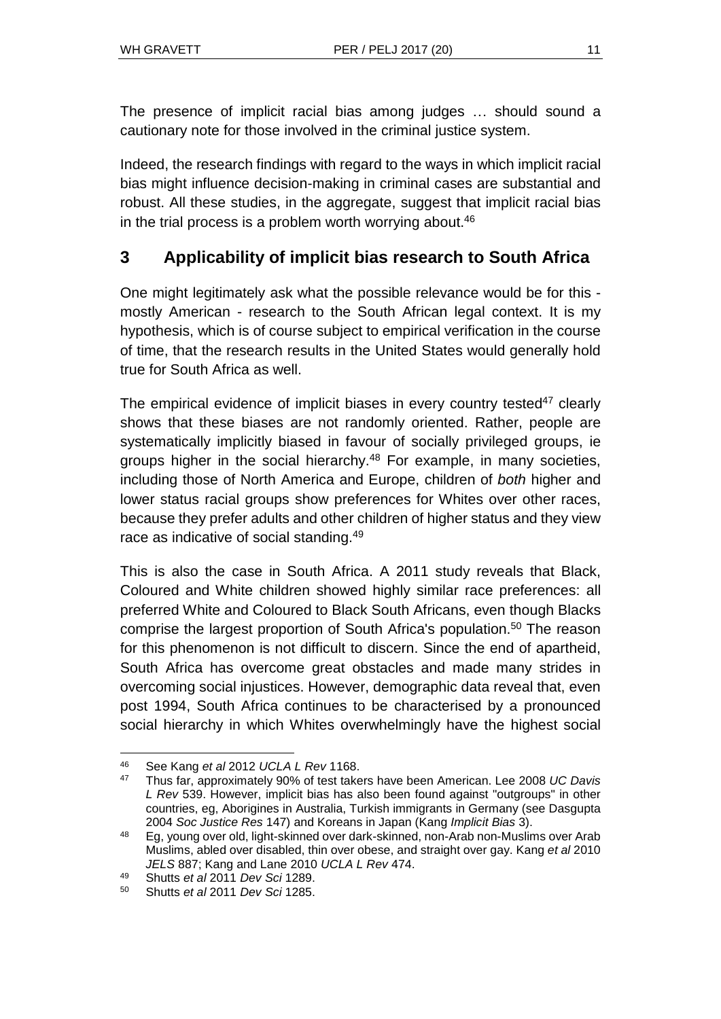The presence of implicit racial bias among judges … should sound a cautionary note for those involved in the criminal justice system.

Indeed, the research findings with regard to the ways in which implicit racial bias might influence decision-making in criminal cases are substantial and robust. All these studies, in the aggregate, suggest that implicit racial bias in the trial process is a problem worth worrying about. $46$ 

# **3 Applicability of implicit bias research to South Africa**

One might legitimately ask what the possible relevance would be for this mostly American - research to the South African legal context. It is my hypothesis, which is of course subject to empirical verification in the course of time, that the research results in the United States would generally hold true for South Africa as well.

The empirical evidence of implicit biases in every country tested $47$  clearly shows that these biases are not randomly oriented. Rather, people are systematically implicitly biased in favour of socially privileged groups, ie groups higher in the social hierarchy.<sup>48</sup> For example, in many societies, including those of North America and Europe, children of *both* higher and lower status racial groups show preferences for Whites over other races, because they prefer adults and other children of higher status and they view race as indicative of social standing.<sup>49</sup>

This is also the case in South Africa. A 2011 study reveals that Black, Coloured and White children showed highly similar race preferences: all preferred White and Coloured to Black South Africans, even though Blacks comprise the largest proportion of South Africa's population.<sup>50</sup> The reason for this phenomenon is not difficult to discern. Since the end of apartheid, South Africa has overcome great obstacles and made many strides in overcoming social injustices. However, demographic data reveal that, even post 1994, South Africa continues to be characterised by a pronounced social hierarchy in which Whites overwhelmingly have the highest social

l <sup>46</sup> See Kang *et al* 2012 *UCLA L Rev* 1168.

<sup>47</sup> Thus far, approximately 90% of test takers have been American. Lee 2008 *UC Davis L Rev* 539. However, implicit bias has also been found against "outgroups" in other countries, eg, Aborigines in Australia, Turkish immigrants in Germany (see Dasgupta 2004 *Soc Justice Res* 147) and Koreans in Japan (Kang *Implicit Bias* 3).

<sup>48</sup> Eg, young over old, light-skinned over dark-skinned, non-Arab non-Muslims over Arab Muslims, abled over disabled, thin over obese, and straight over gay. Kang *et al* 2010 *JELS* 887; Kang and Lane 2010 *UCLA L Rev* 474.

<sup>49</sup> Shutts *et al* 2011 *Dev Sci* 1289.

<sup>50</sup> Shutts *et al* 2011 *Dev Sci* 1285.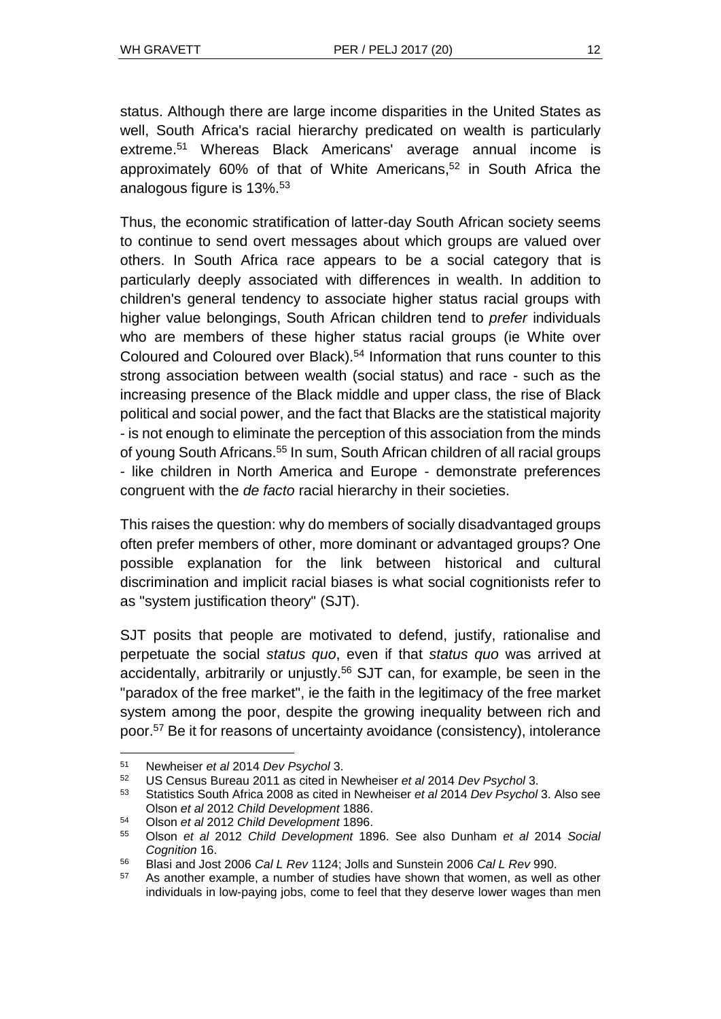status. Although there are large income disparities in the United States as well, South Africa's racial hierarchy predicated on wealth is particularly extreme.<sup>51</sup> Whereas Black Americans' average annual income is approximately 60% of that of White Americans,<sup>52</sup> in South Africa the analogous figure is 13%.<sup>53</sup>

Thus, the economic stratification of latter-day South African society seems to continue to send overt messages about which groups are valued over others. In South Africa race appears to be a social category that is particularly deeply associated with differences in wealth. In addition to children's general tendency to associate higher status racial groups with higher value belongings, South African children tend to *prefer* individuals who are members of these higher status racial groups (ie White over Coloured and Coloured over Black). <sup>54</sup> Information that runs counter to this strong association between wealth (social status) and race - such as the increasing presence of the Black middle and upper class, the rise of Black political and social power, and the fact that Blacks are the statistical majority - is not enough to eliminate the perception of this association from the minds of young South Africans.<sup>55</sup> In sum, South African children of all racial groups - like children in North America and Europe - demonstrate preferences congruent with the *de facto* racial hierarchy in their societies.

This raises the question: why do members of socially disadvantaged groups often prefer members of other, more dominant or advantaged groups? One possible explanation for the link between historical and cultural discrimination and implicit racial biases is what social cognitionists refer to as "system justification theory" (SJT).

SJT posits that people are motivated to defend, justify, rationalise and perpetuate the social *status quo*, even if that *status quo* was arrived at accidentally, arbitrarily or unjustly.<sup>56</sup> SJT can, for example, be seen in the "paradox of the free market", ie the faith in the legitimacy of the free market system among the poor, despite the growing inequality between rich and poor.<sup>57</sup> Be it for reasons of uncertainty avoidance (consistency), intolerance

l

<sup>54</sup> Olson *et al* 2012 *Child Development* 1896.

<sup>51</sup> Newheiser *et al* 2014 *Dev Psychol* 3.

<sup>52</sup> US Census Bureau 2011 as cited in Newheiser *et al* 2014 *Dev Psychol* 3.

<sup>53</sup> Statistics South Africa 2008 as cited in Newheiser *et al* 2014 *Dev Psychol* 3. Also see Olson *et al* 2012 *Child Development* 1886.

<sup>55</sup> Olson *et al* 2012 *Child Development* 1896. See also Dunham *et al* 2014 *Social Cognition* 16.

<sup>56</sup> Blasi and Jost 2006 *Cal L Rev* 1124; Jolls and Sunstein 2006 *Cal L Rev* 990.

<sup>57</sup> As another example, a number of studies have shown that women, as well as other individuals in low-paying jobs, come to feel that they deserve lower wages than men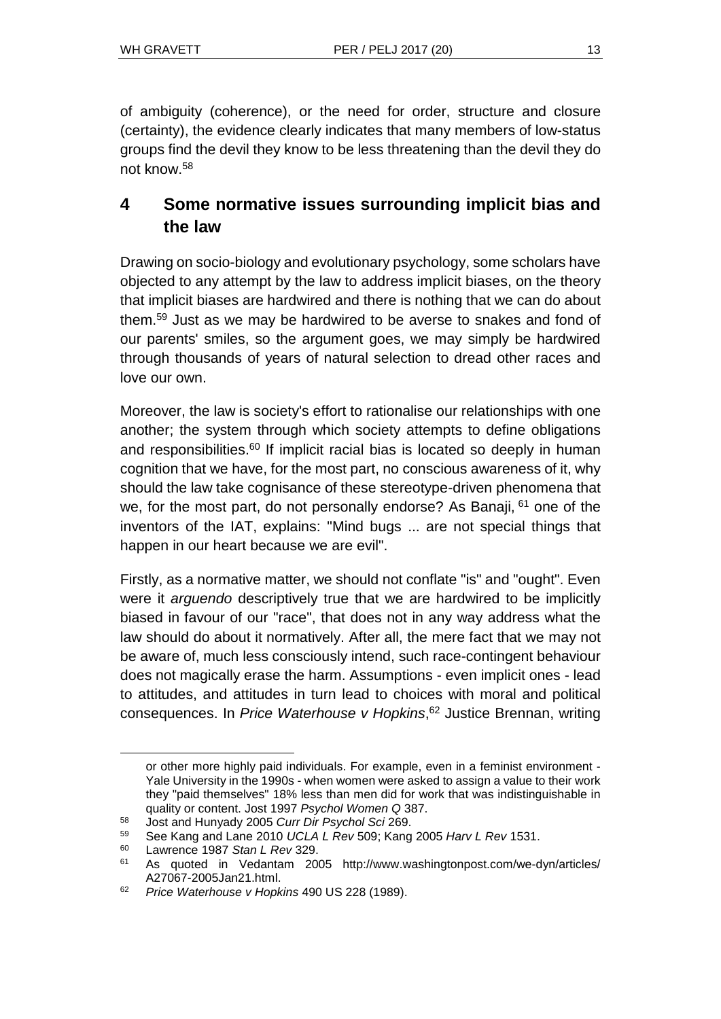of ambiguity (coherence), or the need for order, structure and closure (certainty), the evidence clearly indicates that many members of low-status groups find the devil they know to be less threatening than the devil they do not know.<sup>58</sup>

# **4 Some normative issues surrounding implicit bias and the law**

Drawing on socio-biology and evolutionary psychology, some scholars have objected to any attempt by the law to address implicit biases, on the theory that implicit biases are hardwired and there is nothing that we can do about them.<sup>59</sup> Just as we may be hardwired to be averse to snakes and fond of our parents' smiles, so the argument goes, we may simply be hardwired through thousands of years of natural selection to dread other races and love our own.

Moreover, the law is society's effort to rationalise our relationships with one another; the system through which society attempts to define obligations and responsibilities.<sup>60</sup> If implicit racial bias is located so deeply in human cognition that we have, for the most part, no conscious awareness of it, why should the law take cognisance of these stereotype-driven phenomena that we, for the most part, do not personally endorse? As Banaji, <sup>61</sup> one of the inventors of the IAT, explains: "Mind bugs ... are not special things that happen in our heart because we are evil".

Firstly, as a normative matter, we should not conflate "is" and "ought". Even were it *arguendo* descriptively true that we are hardwired to be implicitly biased in favour of our "race", that does not in any way address what the law should do about it normatively. After all, the mere fact that we may not be aware of, much less consciously intend, such race-contingent behaviour does not magically erase the harm. Assumptions - even implicit ones - lead to attitudes, and attitudes in turn lead to choices with moral and political consequences. In *Price Waterhouse v Hopkins*, <sup>62</sup> Justice Brennan, writing

or other more highly paid individuals. For example, even in a feminist environment - Yale University in the 1990s - when women were asked to assign a value to their work they "paid themselves" 18% less than men did for work that was indistinguishable in quality or content. Jost 1997 *Psychol Women Q* 387.

<sup>58</sup> Jost and Hunyady 2005 *Curr Dir Psychol Sci* 269.

<sup>59</sup> See Kang and Lane 2010 *UCLA L Rev* 509; Kang 2005 *Harv L Rev* 1531.

<sup>60</sup> Lawrence 1987 *Stan L Rev* 329.

<sup>61</sup> As quoted in Vedantam 2005 http:/[/www.washingtonpost.com/we-dyn/articles/](http://www.washingtonpost.com/we-dyn/articles/A27067-2005Jan21.html) [A27067-2005Jan21.html.](http://www.washingtonpost.com/we-dyn/articles/A27067-2005Jan21.html)

<sup>62</sup> *Price Waterhouse v Hopkins* 490 US 228 (1989).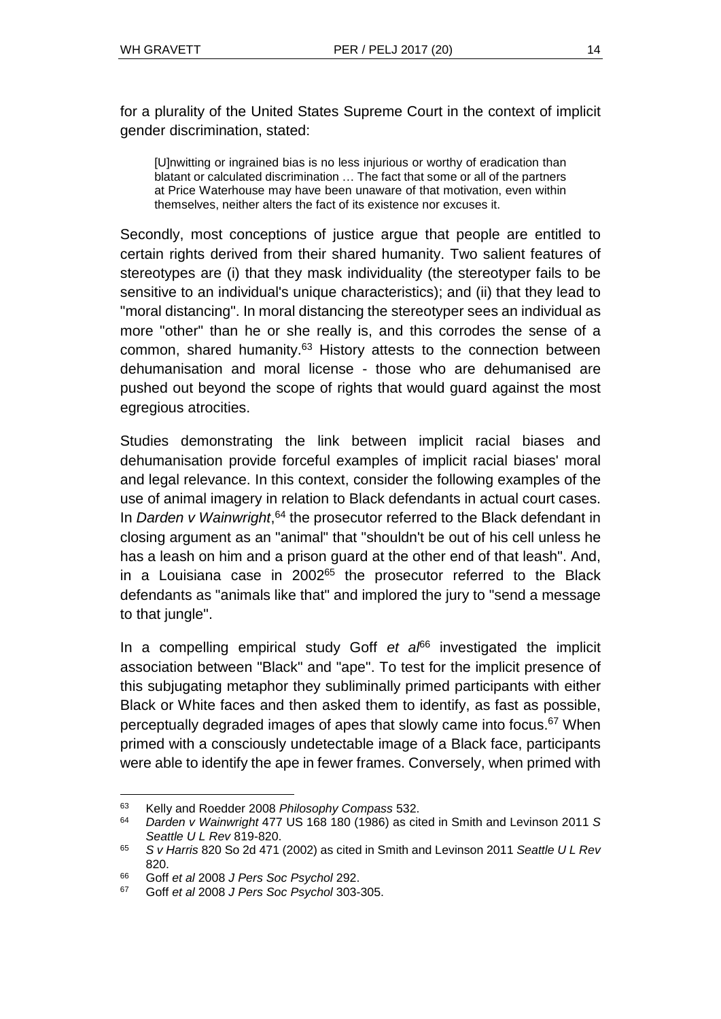for a plurality of the United States Supreme Court in the context of implicit gender discrimination, stated:

[U]nwitting or ingrained bias is no less injurious or worthy of eradication than blatant or calculated discrimination … The fact that some or all of the partners at Price Waterhouse may have been unaware of that motivation, even within themselves, neither alters the fact of its existence nor excuses it.

Secondly, most conceptions of justice argue that people are entitled to certain rights derived from their shared humanity. Two salient features of stereotypes are (i) that they mask individuality (the stereotyper fails to be sensitive to an individual's unique characteristics); and (ii) that they lead to "moral distancing". In moral distancing the stereotyper sees an individual as more "other" than he or she really is, and this corrodes the sense of a common, shared humanity.<sup>63</sup> History attests to the connection between dehumanisation and moral license - those who are dehumanised are pushed out beyond the scope of rights that would guard against the most egregious atrocities.

Studies demonstrating the link between implicit racial biases and dehumanisation provide forceful examples of implicit racial biases' moral and legal relevance. In this context, consider the following examples of the use of animal imagery in relation to Black defendants in actual court cases. In *Darden v Wainwright*, <sup>64</sup> the prosecutor referred to the Black defendant in closing argument as an "animal" that "shouldn't be out of his cell unless he has a leash on him and a prison guard at the other end of that leash". And, in a Louisiana case in  $2002^{65}$  the prosecutor referred to the Black defendants as "animals like that" and implored the jury to "send a message to that jungle".

In a compelling empirical study Goff *et al*<sup>66</sup> investigated the implicit association between "Black" and "ape". To test for the implicit presence of this subjugating metaphor they subliminally primed participants with either Black or White faces and then asked them to identify, as fast as possible, perceptually degraded images of apes that slowly came into focus.<sup>67</sup> When primed with a consciously undetectable image of a Black face, participants were able to identify the ape in fewer frames. Conversely, when primed with

l <sup>63</sup> Kelly and Roedder 2008 *Philosophy Compass* 532.

<sup>64</sup> *Darden v Wainwright* 477 US 168 180 (1986) as cited in Smith and Levinson 2011 *S Seattle U L Rev* 819-820.

<sup>65</sup> *S v Harris* 820 So 2d 471 (2002) as cited in Smith and Levinson 2011 *Seattle U L Rev* 820.

<sup>66</sup> Goff *et al* 2008 *J Pers Soc Psychol* 292.

<sup>67</sup> Goff *et al* 2008 *J Pers Soc Psychol* 303-305.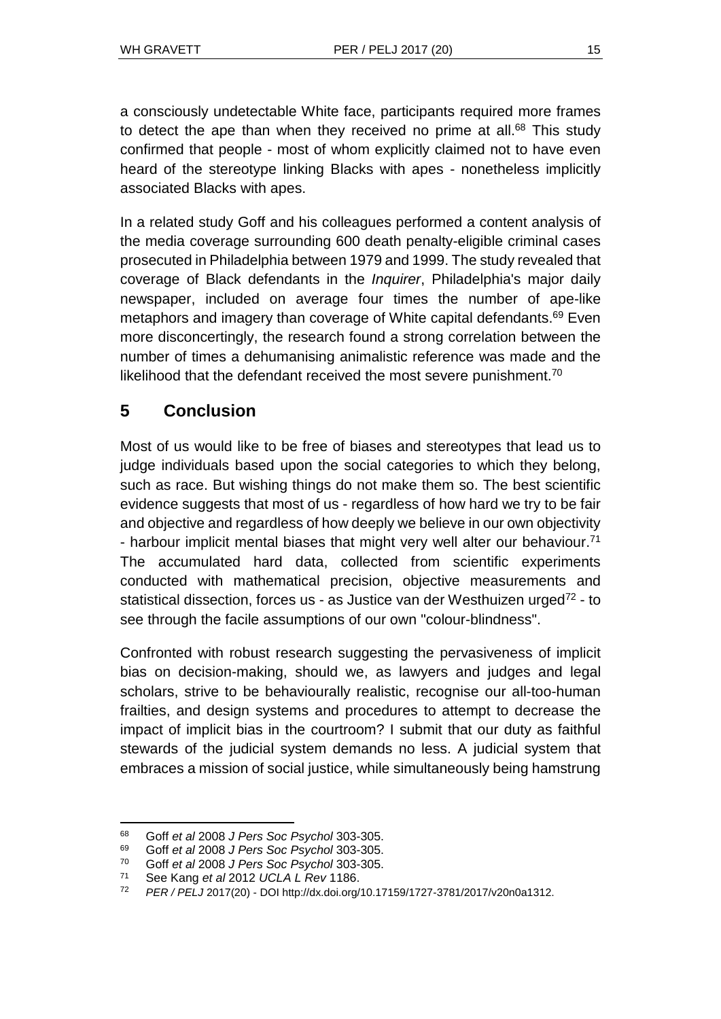a consciously undetectable White face, participants required more frames to detect the ape than when they received no prime at all.<sup>68</sup> This study confirmed that people - most of whom explicitly claimed not to have even heard of the stereotype linking Blacks with apes - nonetheless implicitly associated Blacks with apes.

In a related study Goff and his colleagues performed a content analysis of the media coverage surrounding 600 death penalty-eligible criminal cases prosecuted in Philadelphia between 1979 and 1999. The study revealed that coverage of Black defendants in the *Inquirer*, Philadelphia's major daily newspaper, included on average four times the number of ape-like metaphors and imagery than coverage of White capital defendants.<sup>69</sup> Even more disconcertingly, the research found a strong correlation between the number of times a dehumanising animalistic reference was made and the likelihood that the defendant received the most severe punishment.<sup>70</sup>

# **5 Conclusion**

Most of us would like to be free of biases and stereotypes that lead us to judge individuals based upon the social categories to which they belong, such as race. But wishing things do not make them so. The best scientific evidence suggests that most of us - regardless of how hard we try to be fair and objective and regardless of how deeply we believe in our own objectivity - harbour implicit mental biases that might very well alter our behaviour.<sup>71</sup> The accumulated hard data, collected from scientific experiments conducted with mathematical precision, objective measurements and statistical dissection, forces us - as Justice van der Westhuizen urged<sup>72</sup> - to see through the facile assumptions of our own "colour-blindness".

Confronted with robust research suggesting the pervasiveness of implicit bias on decision-making, should we, as lawyers and judges and legal scholars, strive to be behaviourally realistic, recognise our all-too-human frailties, and design systems and procedures to attempt to decrease the impact of implicit bias in the courtroom? I submit that our duty as faithful stewards of the judicial system demands no less. A judicial system that embraces a mission of social justice, while simultaneously being hamstrung

l <sup>68</sup> Goff *et al* 2008 *J Pers Soc Psychol* 303-305.

<sup>69</sup> Goff *et al* 2008 *J Pers Soc Psychol* 303-305.

<sup>70</sup> Goff *et al* 2008 *J Pers Soc Psychol* 303-305.

<sup>71</sup> See Kang *et al* 2012 *UCLA L Rev* 1186.

<sup>72</sup> *PER / PELJ* 2017(20) - DOI http://dx.doi.org/10.17159/1727-3781/2017/v20n0[a1312.](http://journals.assaf.org.za/index.php/per/editor/submission/1160)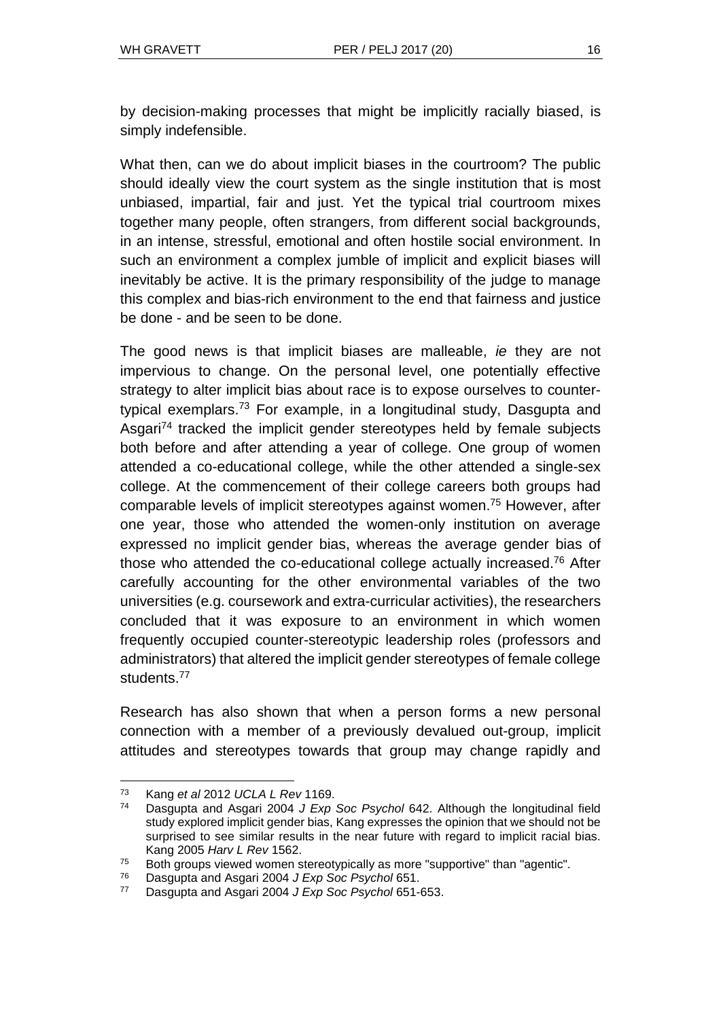by decision-making processes that might be implicitly racially biased, is simply indefensible.

What then, can we do about implicit biases in the courtroom? The public should ideally view the court system as the single institution that is most unbiased, impartial, fair and just. Yet the typical trial courtroom mixes together many people, often strangers, from different social backgrounds, in an intense, stressful, emotional and often hostile social environment. In such an environment a complex jumble of implicit and explicit biases will inevitably be active. It is the primary responsibility of the judge to manage this complex and bias-rich environment to the end that fairness and justice be done - and be seen to be done.

The good news is that implicit biases are malleable, *ie* they are not impervious to change. On the personal level, one potentially effective strategy to alter implicit bias about race is to expose ourselves to countertypical exemplars.<sup>73</sup> For example, in a longitudinal study, Dasgupta and Asgari<sup>74</sup> tracked the implicit gender stereotypes held by female subjects both before and after attending a year of college. One group of women attended a co-educational college, while the other attended a single-sex college. At the commencement of their college careers both groups had comparable levels of implicit stereotypes against women.<sup>75</sup> However, after one year, those who attended the women-only institution on average expressed no implicit gender bias, whereas the average gender bias of those who attended the co-educational college actually increased.<sup>76</sup> After carefully accounting for the other environmental variables of the two universities (e.g. coursework and extra-curricular activities), the researchers concluded that it was exposure to an environment in which women frequently occupied counter-stereotypic leadership roles (professors and administrators) that altered the implicit gender stereotypes of female college students.<sup>77</sup>

Research has also shown that when a person forms a new personal connection with a member of a previously devalued out-group, implicit attitudes and stereotypes towards that group may change rapidly and

<sup>73</sup> Kang *et al* 2012 *UCLA L Rev* 1169.

<sup>74</sup> Dasgupta and Asgari 2004 *J Exp Soc Psychol* 642. Although the longitudinal field study explored implicit gender bias, Kang expresses the opinion that we should not be surprised to see similar results in the near future with regard to implicit racial bias. Kang 2005 *Harv L Rev* 1562.

<sup>75</sup> Both groups viewed women stereotypically as more "supportive" than "agentic".

<sup>76</sup> Dasgupta and Asgari 2004 *J Exp Soc Psychol* 651.

<sup>77</sup> Dasgupta and Asgari 2004 *J Exp Soc Psychol* 651-653.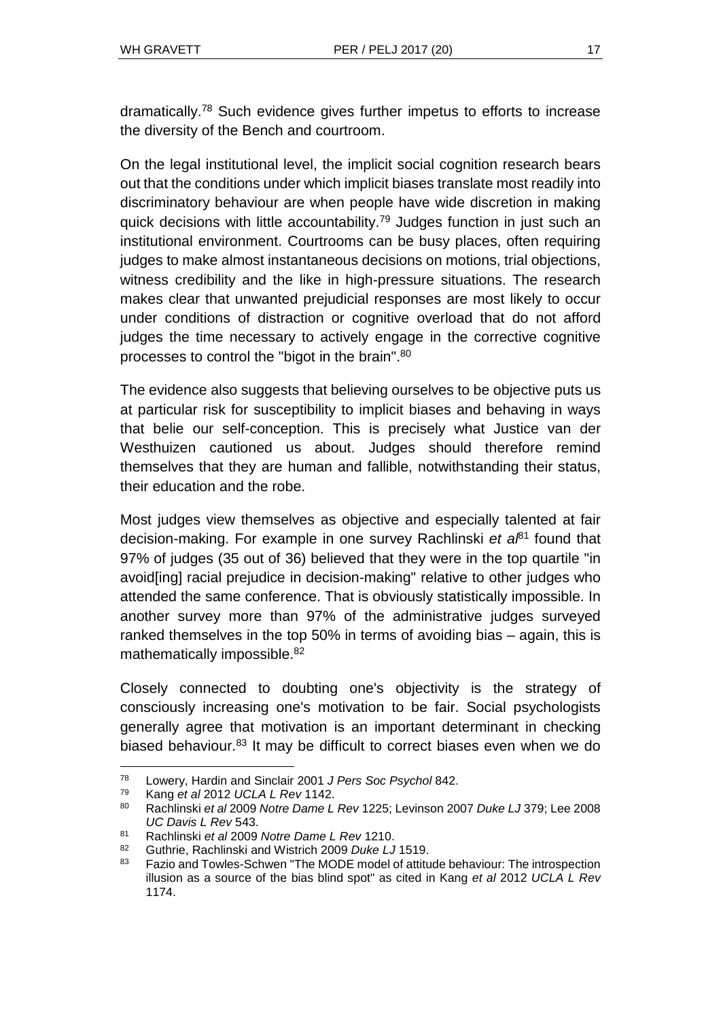dramatically.<sup>78</sup> Such evidence gives further impetus to efforts to increase the diversity of the Bench and courtroom.

On the legal institutional level, the implicit social cognition research bears out that the conditions under which implicit biases translate most readily into discriminatory behaviour are when people have wide discretion in making quick decisions with little accountability.<sup>79</sup> Judges function in just such an institutional environment. Courtrooms can be busy places, often requiring judges to make almost instantaneous decisions on motions, trial objections, witness credibility and the like in high-pressure situations. The research makes clear that unwanted prejudicial responses are most likely to occur under conditions of distraction or cognitive overload that do not afford judges the time necessary to actively engage in the corrective cognitive processes to control the "bigot in the brain".<sup>80</sup>

The evidence also suggests that believing ourselves to be objective puts us at particular risk for susceptibility to implicit biases and behaving in ways that belie our self-conception. This is precisely what Justice van der Westhuizen cautioned us about. Judges should therefore remind themselves that they are human and fallible, notwithstanding their status, their education and the robe.

Most judges view themselves as objective and especially talented at fair decision-making. For example in one survey Rachlinski *et al*<sup>81</sup> found that 97% of judges (35 out of 36) believed that they were in the top quartile "in avoid[ing] racial prejudice in decision-making" relative to other judges who attended the same conference. That is obviously statistically impossible. In another survey more than 97% of the administrative judges surveyed ranked themselves in the top 50% in terms of avoiding bias – again, this is mathematically impossible.<sup>82</sup>

Closely connected to doubting one's objectivity is the strategy of consciously increasing one's motivation to be fair. Social psychologists generally agree that motivation is an important determinant in checking biased behaviour.<sup>83</sup> It may be difficult to correct biases even when we do

<sup>78</sup> Lowery, Hardin and Sinclair 2001 *J Pers Soc Psychol* 842.

<sup>79</sup> Kang *et al* 2012 *UCLA L Rev* 1142.

<sup>80</sup> Rachlinski *et al* 2009 *Notre Dame L Rev* 1225; Levinson 2007 *Duke LJ* 379; Lee 2008 *UC Davis L Rev* 543.

<sup>81</sup> Rachlinski *et al* 2009 *Notre Dame L Rev* 1210.

<sup>82</sup> Guthrie, Rachlinski and Wistrich 2009 *Duke LJ* 1519.

<sup>83</sup> Fazio and Towles-Schwen "The MODE model of attitude behaviour: The introspection illusion as a source of the bias blind spot" as cited in Kang *et al* 2012 *UCLA L Rev* 1174.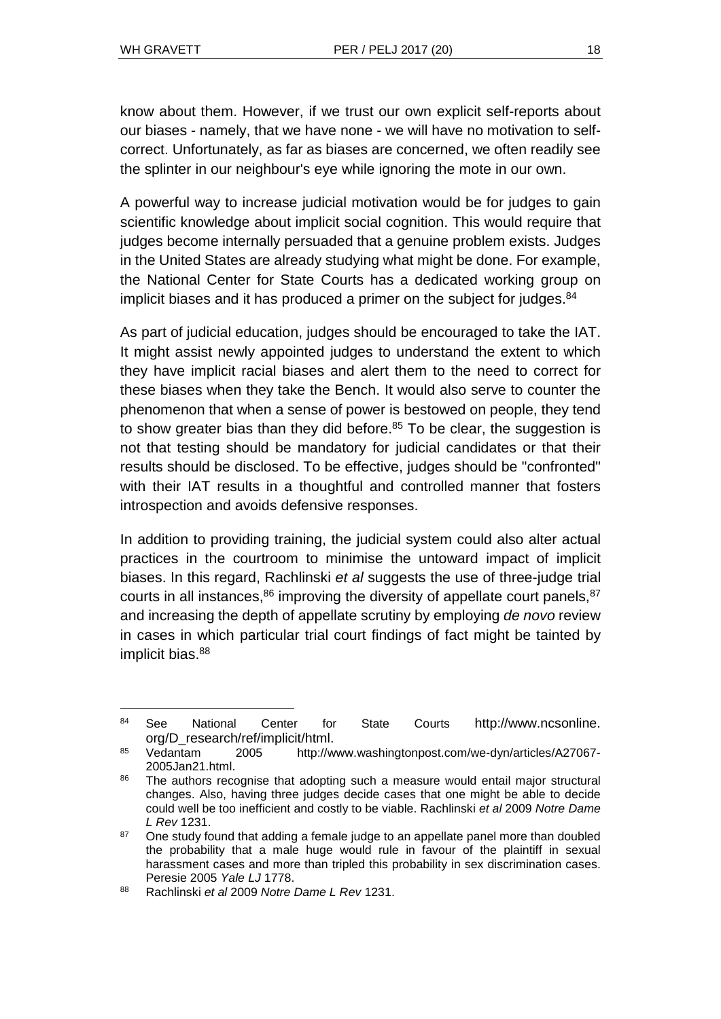l

know about them. However, if we trust our own explicit self-reports about our biases - namely, that we have none - we will have no motivation to selfcorrect. Unfortunately, as far as biases are concerned, we often readily see the splinter in our neighbour's eye while ignoring the mote in our own.

A powerful way to increase judicial motivation would be for judges to gain scientific knowledge about implicit social cognition. This would require that judges become internally persuaded that a genuine problem exists. Judges in the United States are already studying what might be done. For example, the National Center for State Courts has a dedicated working group on implicit biases and it has produced a primer on the subject for judges.<sup>84</sup>

As part of judicial education, judges should be encouraged to take the IAT. It might assist newly appointed judges to understand the extent to which they have implicit racial biases and alert them to the need to correct for these biases when they take the Bench. It would also serve to counter the phenomenon that when a sense of power is bestowed on people, they tend to show greater bias than they did before.<sup>85</sup> To be clear, the suggestion is not that testing should be mandatory for judicial candidates or that their results should be disclosed. To be effective, judges should be "confronted" with their IAT results in a thoughtful and controlled manner that fosters introspection and avoids defensive responses.

In addition to providing training, the judicial system could also alter actual practices in the courtroom to minimise the untoward impact of implicit biases. In this regard, Rachlinski *et al* suggests the use of three-judge trial courts in all instances, $86$  improving the diversity of appellate court panels,  $87$ and increasing the depth of appellate scrutiny by employing *de novo* review in cases in which particular trial court findings of fact might be tainted by implicit bias.<sup>88</sup>

<sup>84</sup> See National Center for State Courts http://www.ncsonline. org/D\_research/ref/implicit/html.

<sup>85</sup> Vedantam 2005 http:/[/www.washingtonpost.com/we-dyn/articles/A27067-](http://www.washingtonpost.com/we-dyn/articles/A27067-2005Jan21.html) [2005Jan21.html.](http://www.washingtonpost.com/we-dyn/articles/A27067-2005Jan21.html)

<sup>86</sup> The authors recognise that adopting such a measure would entail major structural changes. Also, having three judges decide cases that one might be able to decide could well be too inefficient and costly to be viable. Rachlinski *et al* 2009 *Notre Dame L Rev* 1231.

 $87$  One study found that adding a female judge to an appellate panel more than doubled the probability that a male huge would rule in favour of the plaintiff in sexual harassment cases and more than tripled this probability in sex discrimination cases. Peresie 2005 *Yale LJ* 1778.

<sup>88</sup> Rachlinski *et al* 2009 *Notre Dame L Rev* 1231.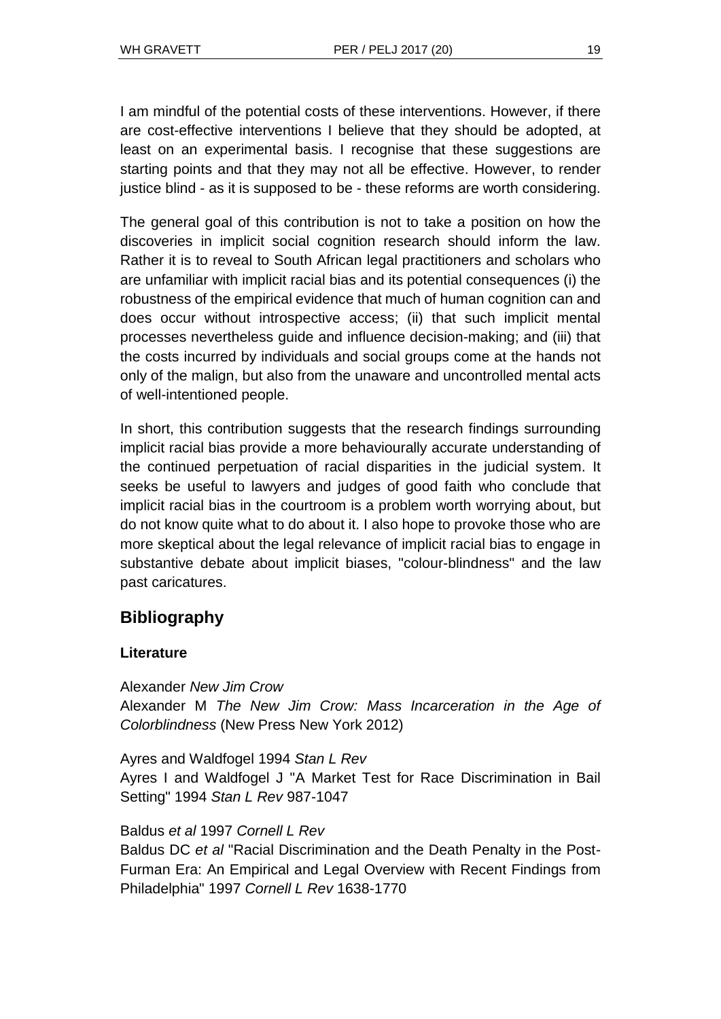I am mindful of the potential costs of these interventions. However, if there are cost-effective interventions I believe that they should be adopted, at least on an experimental basis. I recognise that these suggestions are starting points and that they may not all be effective. However, to render justice blind - as it is supposed to be - these reforms are worth considering.

The general goal of this contribution is not to take a position on how the discoveries in implicit social cognition research should inform the law. Rather it is to reveal to South African legal practitioners and scholars who are unfamiliar with implicit racial bias and its potential consequences (i) the robustness of the empirical evidence that much of human cognition can and does occur without introspective access; (ii) that such implicit mental processes nevertheless guide and influence decision-making; and (iii) that the costs incurred by individuals and social groups come at the hands not only of the malign, but also from the unaware and uncontrolled mental acts of well-intentioned people.

In short, this contribution suggests that the research findings surrounding implicit racial bias provide a more behaviourally accurate understanding of the continued perpetuation of racial disparities in the judicial system. It seeks be useful to lawyers and judges of good faith who conclude that implicit racial bias in the courtroom is a problem worth worrying about, but do not know quite what to do about it. I also hope to provoke those who are more skeptical about the legal relevance of implicit racial bias to engage in substantive debate about implicit biases, "colour-blindness" and the law past caricatures.

# **Bibliography**

## **Literature**

Alexander *New Jim Crow* Alexander M *The New Jim Crow: Mass Incarceration in the Age of Colorblindness* (New Press New York 2012)

Ayres and Waldfogel 1994 *Stan L Rev* Ayres I and Waldfogel J "A Market Test for Race Discrimination in Bail Setting" 1994 *Stan L Rev* 987-1047

Baldus *et al* 1997 *Cornell L Rev*

Baldus DC *et al* "Racial Discrimination and the Death Penalty in the Post-Furman Era: An Empirical and Legal Overview with Recent Findings from Philadelphia" 1997 *Cornell L Rev* 1638-1770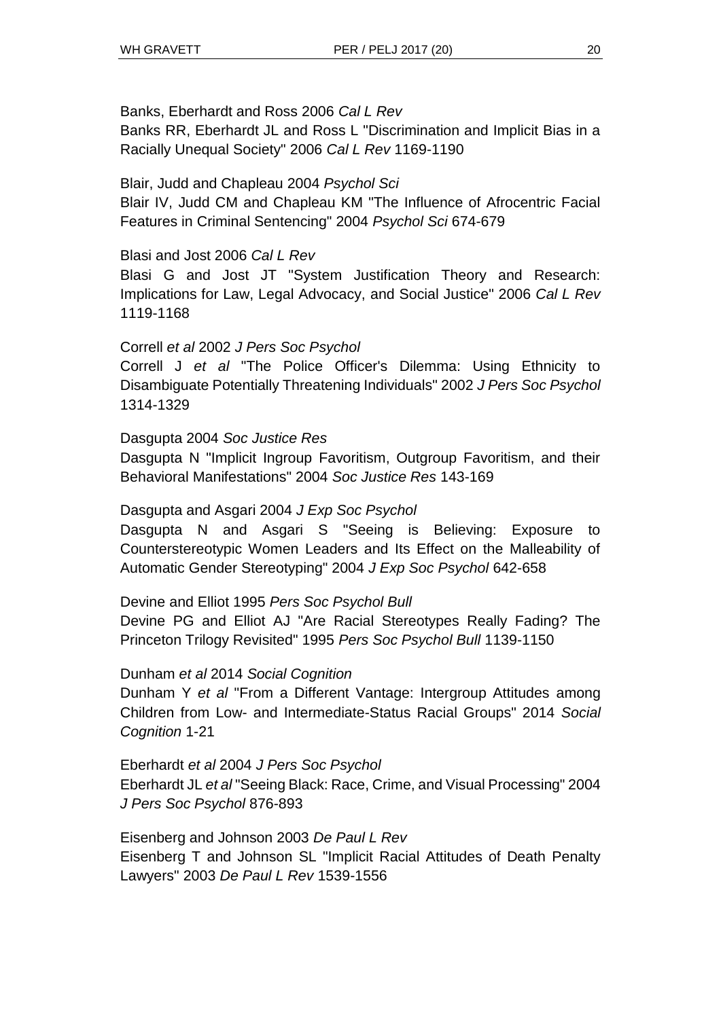## Banks, Eberhardt and Ross 2006 *Cal L Rev*

Banks RR, Eberhardt JL and Ross L "Discrimination and Implicit Bias in a Racially Unequal Society" 2006 *Cal L Rev* 1169-1190

## Blair, Judd and Chapleau 2004 *Psychol Sci*

Blair IV, Judd CM and Chapleau KM "The Influence of Afrocentric Facial Features in Criminal Sentencing" 2004 *Psychol Sci* 674-679

## Blasi and Jost 2006 *Cal L Rev*

Blasi G and Jost JT "System Justification Theory and Research: Implications for Law, Legal Advocacy, and Social Justice" 2006 *Cal L Rev*  1119-1168

## Correll *et al* 2002 *J Pers Soc Psychol*

Correll J *et al* "The Police Officer's Dilemma: Using Ethnicity to Disambiguate Potentially Threatening Individuals" 2002 *J Pers Soc Psychol*  1314-1329

#### Dasgupta 2004 *Soc Justice Res*

Dasgupta N "Implicit Ingroup Favoritism, Outgroup Favoritism, and their Behavioral Manifestations" 2004 *Soc Justice Res* 143-169

### Dasgupta and Asgari 2004 *J Exp Soc Psychol*

Dasgupta N and Asgari S "Seeing is Believing: Exposure to Counterstereotypic Women Leaders and Its Effect on the Malleability of Automatic Gender Stereotyping" 2004 *J Exp Soc Psychol* 642-658

## Devine and Elliot 1995 *Pers Soc Psychol Bull*

Devine PG and Elliot AJ "Are Racial Stereotypes Really Fading? The Princeton Trilogy Revisited" 1995 *Pers Soc Psychol Bull* 1139-1150

#### Dunham *et al* 2014 *Social Cognition*

Dunham Y *et al* "From a Different Vantage: Intergroup Attitudes among Children from Low- and Intermediate-Status Racial Groups" 2014 *Social Cognition* 1-21

Eberhardt *et al* 2004 *J Pers Soc Psychol* Eberhardt JL *et al* "Seeing Black: Race, Crime, and Visual Processing" 2004 *J Pers Soc Psychol* 876-893

Eisenberg and Johnson 2003 *De Paul L Rev* Eisenberg T and Johnson SL "Implicit Racial Attitudes of Death Penalty Lawyers" 2003 *De Paul L Rev* 1539-1556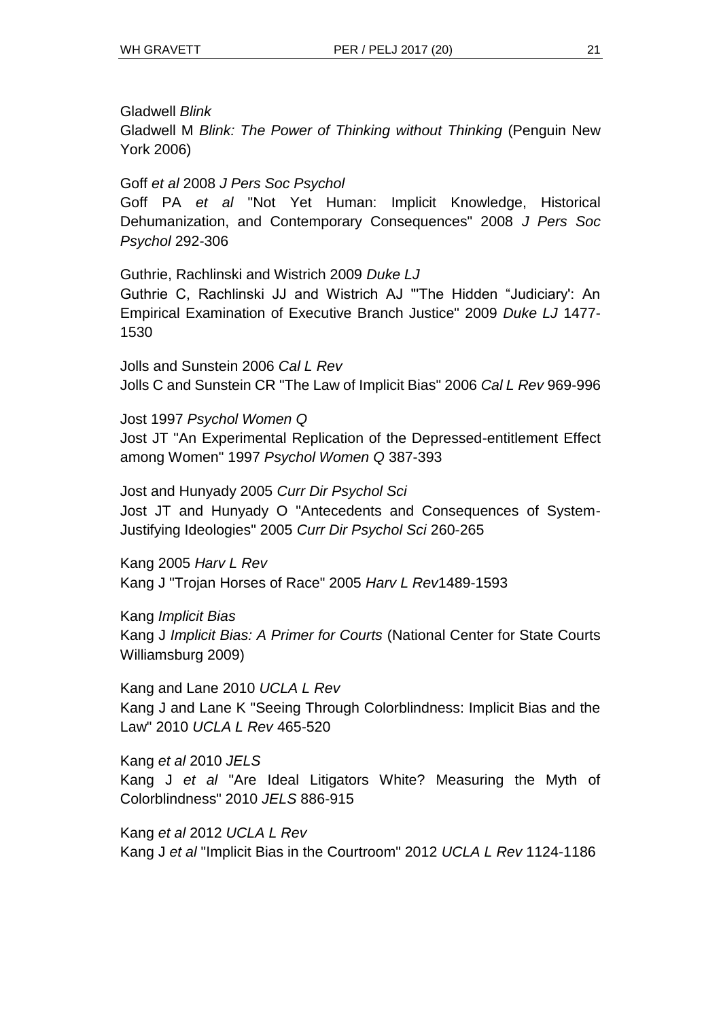## Gladwell *Blink*

Gladwell M *Blink: The Power of Thinking without Thinking* (Penguin New York 2006)

### Goff *et al* 2008 *J Pers Soc Psychol*

Goff PA *et al* "Not Yet Human: Implicit Knowledge, Historical Dehumanization, and Contemporary Consequences" 2008 *J Pers Soc Psychol* 292-306

Guthrie, Rachlinski and Wistrich 2009 *Duke LJ*

Guthrie C, Rachlinski JJ and Wistrich AJ "'The Hidden "Judiciary': An Empirical Examination of Executive Branch Justice" 2009 *Duke LJ* 1477- 1530

Jolls and Sunstein 2006 *Cal L Rev* Jolls C and Sunstein CR "The Law of Implicit Bias" 2006 *Cal L Rev* 969-996

Jost 1997 *Psychol Women Q* Jost JT "An Experimental Replication of the Depressed-entitlement Effect among Women" 1997 *Psychol Women Q* 387-393

Jost and Hunyady 2005 *Curr Dir Psychol Sci* Jost JT and Hunyady O "Antecedents and Consequences of System-Justifying Ideologies" 2005 *Curr Dir Psychol Sci* 260-265

Kang 2005 *Harv L Rev* Kang J "Trojan Horses of Race" 2005 *Harv L Rev*1489-1593

Kang *Implicit Bias* Kang J *Implicit Bias: A Primer for Courts* (National Center for State Courts Williamsburg 2009)

Kang and Lane 2010 *UCLA L Rev* Kang J and Lane K "Seeing Through Colorblindness: Implicit Bias and the Law" 2010 *UCLA L Rev* 465-520

Kang *et al* 2010 *JELS* Kang J *et al* "Are Ideal Litigators White? Measuring the Myth of Colorblindness" 2010 *JELS* 886-915

Kang *et al* 2012 *UCLA L Rev* Kang J *et al* "Implicit Bias in the Courtroom" 2012 *UCLA L Rev* 1124-1186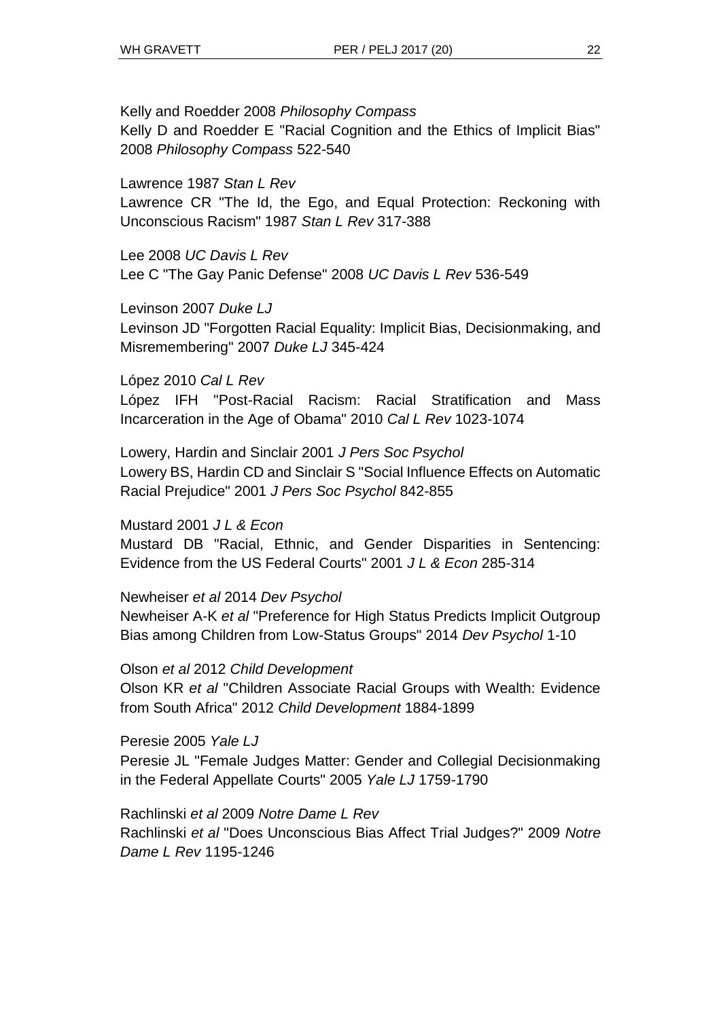Kelly and Roedder 2008 *Philosophy Compass* Kelly D and Roedder E "Racial Cognition and the Ethics of Implicit Bias" 2008 *Philosophy Compass* 522-540

Lawrence 1987 *Stan L Rev*

Lawrence CR "The Id, the Ego, and Equal Protection: Reckoning with Unconscious Racism" 1987 *Stan L Rev* 317-388

Lee 2008 *UC Davis L Rev* Lee C "The Gay Panic Defense" 2008 *UC Davis L Rev* 536-549

Levinson 2007 *Duke LJ*

Levinson JD "Forgotten Racial Equality: Implicit Bias, Decisionmaking, and Misremembering" 2007 *Duke LJ* 345-424

López 2010 *Cal L Rev* López IFH "Post-Racial Racism: Racial Stratification and Mass Incarceration in the Age of Obama" 2010 *Cal L Rev* 1023-1074

Lowery, Hardin and Sinclair 2001 *J Pers Soc Psychol* Lowery BS, Hardin CD and Sinclair S "Social Influence Effects on Automatic Racial Prejudice" 2001 *J Pers Soc Psychol* 842-855

Mustard 2001 *J L & Econ*

Mustard DB "Racial, Ethnic, and Gender Disparities in Sentencing: Evidence from the US Federal Courts" 2001 *J L & Econ* 285-314

Newheiser *et al* 2014 *Dev Psychol*

Newheiser A-K *et al* "Preference for High Status Predicts Implicit Outgroup Bias among Children from Low-Status Groups" 2014 *Dev Psychol* 1-10

Olson *et al* 2012 *Child Development* Olson KR *et al* "Children Associate Racial Groups with Wealth: Evidence from South Africa" 2012 *Child Development* 1884-1899

Peresie 2005 *Yale LJ* Peresie JL "Female Judges Matter: Gender and Collegial Decisionmaking in the Federal Appellate Courts" 2005 *Yale LJ* 1759-1790

Rachlinski *et al* 2009 *Notre Dame L Rev* Rachlinski *et al* "Does Unconscious Bias Affect Trial Judges?" 2009 *Notre Dame L Rev* 1195-1246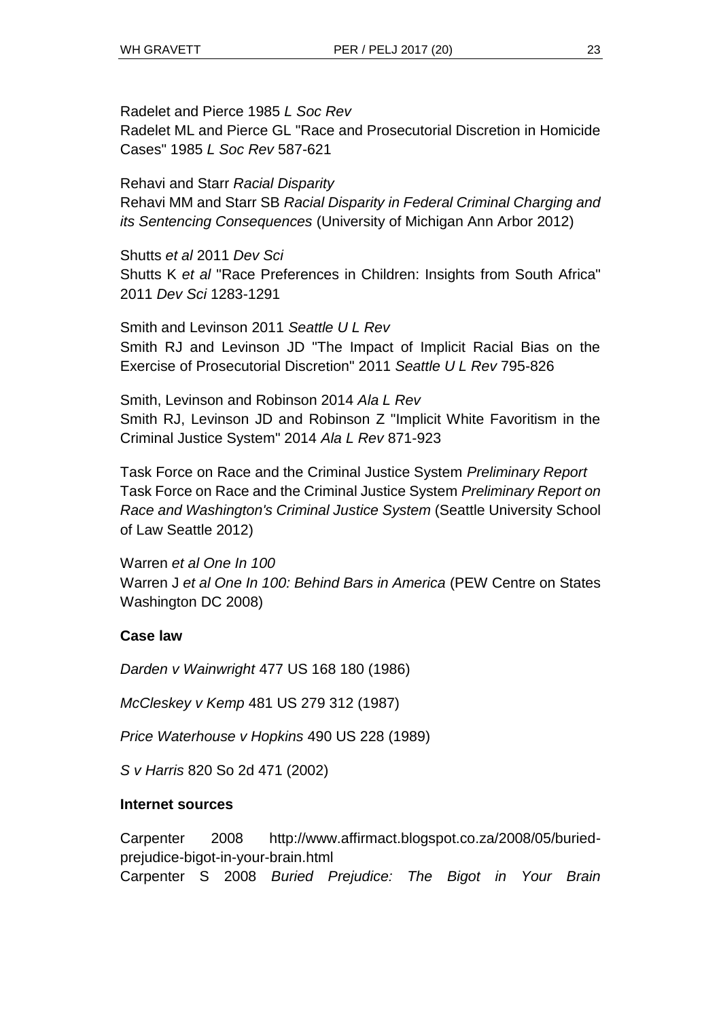Radelet and Pierce 1985 *L Soc Rev* Radelet ML and Pierce GL "Race and Prosecutorial Discretion in Homicide Cases" 1985 *L Soc Rev* 587-621

Rehavi and Starr *Racial Disparity* Rehavi MM and Starr SB *Racial Disparity in Federal Criminal Charging and its Sentencing Consequences* (University of Michigan Ann Arbor 2012)

Shutts *et al* 2011 *Dev Sci* Shutts K *et al* "Race Preferences in Children: Insights from South Africa" 2011 *Dev Sci* 1283-1291

Smith and Levinson 2011 *Seattle U L Rev* Smith RJ and Levinson JD "The Impact of Implicit Racial Bias on the Exercise of Prosecutorial Discretion" 2011 *Seattle U L Rev* 795-826

Smith, Levinson and Robinson 2014 *Ala L Rev* Smith RJ, Levinson JD and Robinson Z "Implicit White Favoritism in the Criminal Justice System" 2014 *Ala L Rev* 871-923

Task Force on Race and the Criminal Justice System *Preliminary Report* Task Force on Race and the Criminal Justice System *Preliminary Report on Race and Washington's Criminal Justice System* (Seattle University School of Law Seattle 2012)

Warren *et al One In 100* Warren J *et al One In 100: Behind Bars in America* (PEW Centre on States Washington DC 2008)

## **Case law**

*Darden v Wainwright* 477 US 168 180 (1986)

*McCleskey v Kemp* 481 US 279 312 (1987)

*Price Waterhouse v Hopkins* 490 US 228 (1989)

*S v Harris* 820 So 2d 471 (2002)

## **Internet sources**

Carpenter 2008 http://www.affirmact.blogspot.co.za/2008/05/buriedprejudice-bigot-in-your-brain.html Carpenter S 2008 *Buried Prejudice: The Bigot in Your Brain*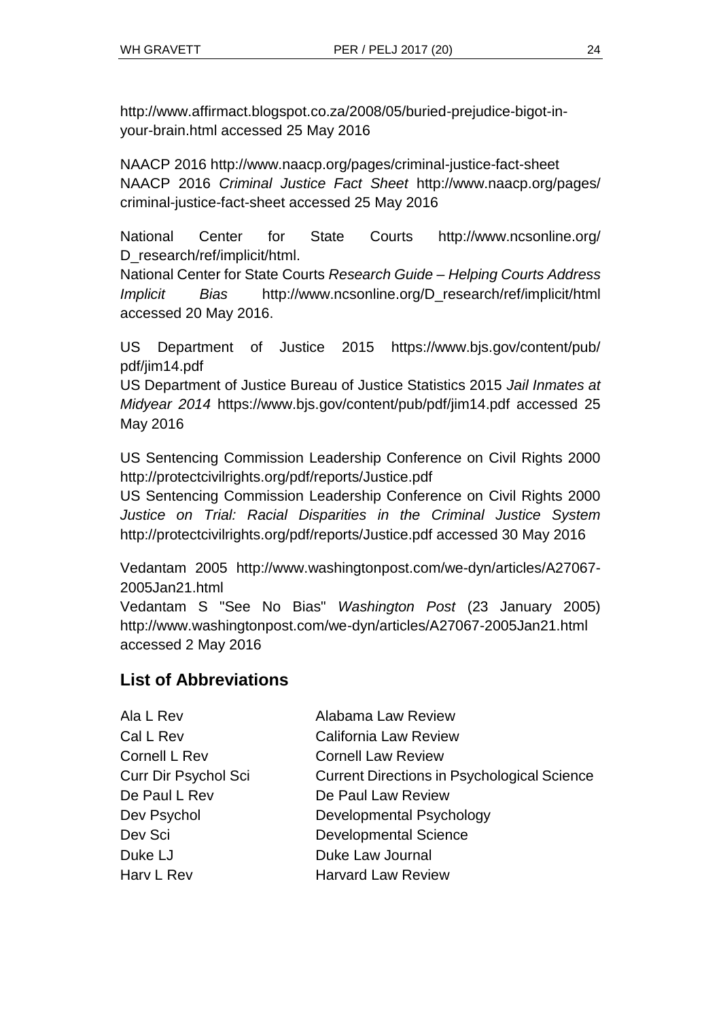http://www.affirmact.blogspot.co.za/2008/05/buried-prejudice-bigot-inyour-brain.html accessed 25 May 2016

NAACP 2016 <http://www.naacp.org/pages/criminal-justice-fact-sheet> NAACP 2016 *Criminal Justice Fact Sheet* [http://www.naacp.org/pages/](http://www.naacp.org/pages/criminal-justice-fact-sheet) [criminal-justice-fact-sheet](http://www.naacp.org/pages/criminal-justice-fact-sheet) accessed 25 May 2016

National Center for State Courts http://www.ncsonline.org/ D\_research/ref/implicit/html.

National Center for State Courts *Research Guide – Helping Courts Address Implicit Bias* [http://www.ncsonline.org/D\\_research/ref/implicit/html](http://www.ncsonline.org/D_research/ref/implicit/html) accessed 20 May 2016.

US Department of Justice 2015 https://www.bjs.gov/content/pub/ pdf/jim14.pdf

US Department of Justice Bureau of Justice Statistics 2015 *Jail Inmates at Midyear 2014* https://www.bjs.gov/content/pub/pdf/jim14.pdf accessed 25 May 2016

US Sentencing Commission Leadership Conference on Civil Rights 2000 http://protectcivilrights.org/pdf/reports/Justice.pdf

US Sentencing Commission Leadership Conference on Civil Rights 2000 *Justice on Trial: Racial Disparities in the Criminal Justice System* http://protectcivilrights.org/pdf/reports/Justice.pdf accessed 30 May 2016

Vedantam 2005 http:/[/www.washingtonpost.com/we-dyn/articles/A27067-](http://www.washingtonpost.com/we-dyn/articles/A27067-2005Jan21.html) [2005Jan21.html](http://www.washingtonpost.com/we-dyn/articles/A27067-2005Jan21.html)

Vedantam S "See No Bias" *Washington Post* (23 January 2005) <http://www.washingtonpost.com/we-dyn/articles/A27067-2005Jan21.html> accessed 2 May 2016

# **List of Abbreviations**

| Ala L Rev            | Alabama Law Review                                 |
|----------------------|----------------------------------------------------|
| Cal L Rev            | <b>California Law Review</b>                       |
| Cornell L Rev        | <b>Cornell Law Review</b>                          |
| Curr Dir Psychol Sci | <b>Current Directions in Psychological Science</b> |
| De Paul L Rev        | De Paul Law Review                                 |
| Dev Psychol          | Developmental Psychology                           |
| Dev Sci              | <b>Developmental Science</b>                       |
| Duke LJ              | Duke Law Journal                                   |
| Harv L Rev           | <b>Harvard Law Review</b>                          |
|                      |                                                    |